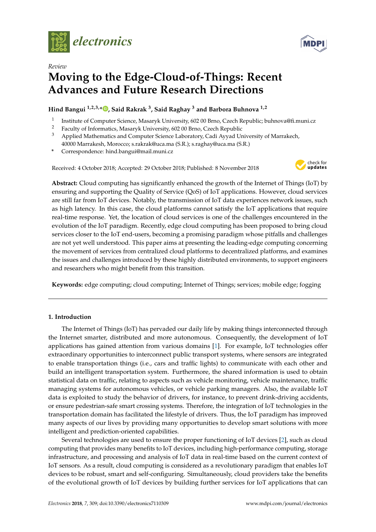



# *Review* **Moving to the Edge-Cloud-of-Things: Recent Advances and Future Research Directions**

## **Hind Bangui 1,2,3,[\\*](https://orcid.org/0000-0003-2689-0382) , Said Rakrak <sup>3</sup> , Said Raghay <sup>3</sup> and Barbora Buhnova 1,2**

- 1 Institute of Computer Science, Masaryk University, 602 00 Brno, Czech Republic; buhnova@fi.muni.cz
- <sup>2</sup> Faculty of Informatics, Masaryk University, 602 00 Brno, Czech Republic<br><sup>3</sup> Applied Mathematics and Computer Science Laboratory, Cadi Ayyad Un
- <sup>3</sup> Applied Mathematics and Computer Science Laboratory, Cadi Ayyad University of Marrakech, 40000 Marrakesh, Morocco; s.rakrak@uca.ma (S.R.); s.raghay@uca.ma (S.R.)
- **\*** Correspondence: hind.bangui@mail.muni.cz

Received: 4 October 2018; Accepted: 29 October 2018; Published: 8 November 2018



**Abstract:** Cloud computing has significantly enhanced the growth of the Internet of Things (IoT) by ensuring and supporting the Quality of Service (QoS) of IoT applications. However, cloud services are still far from IoT devices. Notably, the transmission of IoT data experiences network issues, such as high latency. In this case, the cloud platforms cannot satisfy the IoT applications that require real-time response. Yet, the location of cloud services is one of the challenges encountered in the evolution of the IoT paradigm. Recently, edge cloud computing has been proposed to bring cloud services closer to the IoT end-users, becoming a promising paradigm whose pitfalls and challenges are not yet well understood. This paper aims at presenting the leading-edge computing concerning the movement of services from centralized cloud platforms to decentralized platforms, and examines the issues and challenges introduced by these highly distributed environments, to support engineers and researchers who might benefit from this transition.

**Keywords:** edge computing; cloud computing; Internet of Things; services; mobile edge; fogging

## **1. Introduction**

The Internet of Things (IoT) has pervaded our daily life by making things interconnected through the Internet smarter, distributed and more autonomous. Consequently, the development of IoT applications has gained attention from various domains [\[1\]](#page-25-0). For example, IoT technologies offer extraordinary opportunities to interconnect public transport systems, where sensors are integrated to enable transportation things (i.e., cars and traffic lights) to communicate with each other and build an intelligent transportation system. Furthermore, the shared information is used to obtain statistical data on traffic, relating to aspects such as vehicle monitoring, vehicle maintenance, traffic managing systems for autonomous vehicles, or vehicle parking managers. Also, the available IoT data is exploited to study the behavior of drivers, for instance, to prevent drink-driving accidents, or ensure pedestrian-safe smart crossing systems. Therefore, the integration of IoT technologies in the transportation domain has facilitated the lifestyle of drivers. Thus, the IoT paradigm has improved many aspects of our lives by providing many opportunities to develop smart solutions with more intelligent and prediction-oriented capabilities.

Several technologies are used to ensure the proper functioning of IoT devices [\[2\]](#page-25-1), such as cloud computing that provides many benefits to IoT devices, including high-performance computing, storage infrastructure, and processing and analysis of IoT data in real-time based on the current context of IoT sensors. As a result, cloud computing is considered as a revolutionary paradigm that enables IoT devices to be robust, smart and self-configuring. Simultaneously, cloud providers take the benefits of the evolutional growth of IoT devices by building further services for IoT applications that can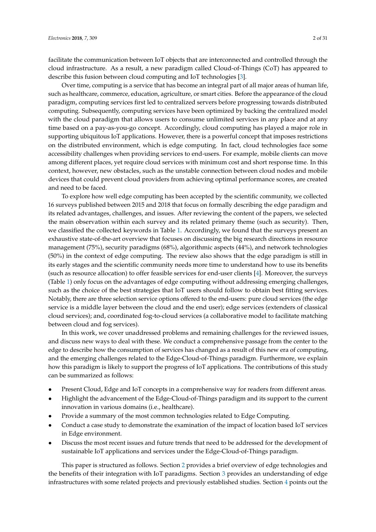facilitate the communication between IoT objects that are interconnected and controlled through the cloud infrastructure. As a result, a new paradigm called Cloud-of-Things (CoT) has appeared to describe this fusion between cloud computing and IoT technologies [\[3\]](#page-25-2).

Over time, computing is a service that has become an integral part of all major areas of human life, such as healthcare, commerce, education, agriculture, or smart cities. Before the appearance of the cloud paradigm, computing services first led to centralized servers before progressing towards distributed computing. Subsequently, computing services have been optimized by backing the centralized model with the cloud paradigm that allows users to consume unlimited services in any place and at any time based on a pay-as-you-go concept. Accordingly, cloud computing has played a major role in supporting ubiquitous IoT applications. However, there is a powerful concept that imposes restrictions on the distributed environment, which is edge computing. In fact, cloud technologies face some accessibility challenges when providing services to end-users. For example, mobile clients can move among different places, yet require cloud services with minimum cost and short response time. In this context, however, new obstacles, such as the unstable connection between cloud nodes and mobile devices that could prevent cloud providers from achieving optimal performance scores, are created and need to be faced.

To explore how well edge computing has been accepted by the scientific community, we collected 16 surveys published between 2015 and 2018 that focus on formally describing the edge paradigm and its related advantages, challenges, and issues. After reviewing the content of the papers, we selected the main observation within each survey and its related primary theme (such as security). Then, we classified the collected keywords in Table [1.](#page-3-0) Accordingly, we found that the surveys present an exhaustive state-of-the-art overview that focuses on discussing the big research directions in resource management (75%), security paradigms (68%), algorithmic aspects (44%), and network technologies (50%) in the context of edge computing. The review also shows that the edge paradigm is still in its early stages and the scientific community needs more time to understand how to use its benefits (such as resource allocation) to offer feasible services for end-user clients [\[4\]](#page-25-3). Moreover, the surveys (Table [1\)](#page-3-0) only focus on the advantages of edge computing without addressing emerging challenges, such as the choice of the best strategies that IoT users should follow to obtain best fitting services. Notably, there are three selection service options offered to the end-users: pure cloud services (the edge service is a middle layer between the cloud and the end user); edge services (extenders of classical cloud services); and, coordinated fog-to-cloud services (a collaborative model to facilitate matching between cloud and fog services).

In this work, we cover unaddressed problems and remaining challenges for the reviewed issues, and discuss new ways to deal with these. We conduct a comprehensive passage from the center to the edge to describe how the consumption of services has changed as a result of this new era of computing, and the emerging challenges related to the Edge-Cloud-of-Things paradigm. Furthermore, we explain how this paradigm is likely to support the progress of IoT applications. The contributions of this study can be summarized as follows:

- Present Cloud, Edge and IoT concepts in a comprehensive way for readers from different areas.
- Highlight the advancement of the Edge-Cloud-of-Things paradigm and its support to the current innovation in various domains (i.e., healthcare).
- Provide a summary of the most common technologies related to Edge Computing.
- Conduct a case study to demonstrate the examination of the impact of location based IoT services in Edge environment.
- Discuss the most recent issues and future trends that need to be addressed for the development of sustainable IoT applications and services under the Edge-Cloud-of-Things paradigm.

This paper is structured as follows. Section [2](#page-3-1) provides a brief overview of edge technologies and the benefits of their integration with IoT paradigms. Section [3](#page-4-0) provides an understanding of edge infrastructures with some related projects and previously established studies. Section [4](#page-14-0) points out the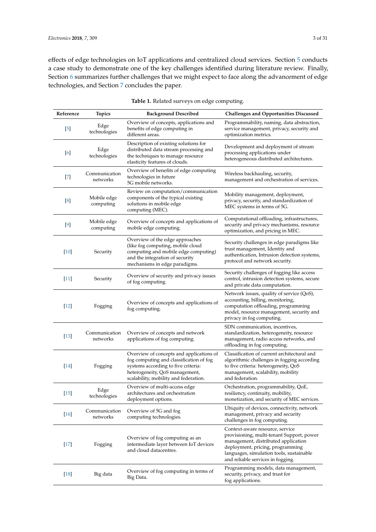effects of edge technologies on IoT applications and centralized cloud services. Section [5](#page-17-0) conducts a case study to demonstrate one of the key challenges identified during literature review. Finally, Section [6](#page-21-0) summarizes further challenges that we might expect to face along the advancement of edge technologies, and Section [7](#page-25-4) concludes the paper.

| Reference         | <b>Topics</b>             | <b>Background Described</b>                                                                                                                                                                           | <b>Challenges and Opportunities Discussed</b>                                                                                                                                                                                            |
|-------------------|---------------------------|-------------------------------------------------------------------------------------------------------------------------------------------------------------------------------------------------------|------------------------------------------------------------------------------------------------------------------------------------------------------------------------------------------------------------------------------------------|
| $\left[5\right]$  | Edge<br>technologies      | Overview of concepts, applications and<br>benefits of edge computing in<br>different areas.                                                                                                           | Programmability, naming, data abstraction,<br>service management, privacy, security and<br>optimization metrics.                                                                                                                         |
| [6]               | Edge<br>technologies      | Description of existing solutions for<br>distributed data stream processing and<br>the techniques to manage resource<br>elasticity features of clouds.                                                | Development and deployment of stream<br>processing applications under<br>heterogeneous distributed architectures.                                                                                                                        |
| $[7]$             | Communication<br>networks | Overview of benefits of edge computing<br>technologies in future<br>5G mobile networks.                                                                                                               | Wireless backhauling, security,<br>management and orchestration of services.                                                                                                                                                             |
| $\lceil 8 \rceil$ | Mobile edge<br>computing  | Review on computation/communication<br>components of the typical existing<br>solutions in mobile edge<br>computing (MEC).                                                                             | Mobility management, deployment,<br>privacy, security, and standardization of<br>MEC systems in terms of 5G.                                                                                                                             |
| $[9]$             | Mobile edge<br>computing  | Overview of concepts and applications of<br>mobile edge computing.                                                                                                                                    | Computational offloading, infrastructures,<br>security and privacy mechanisms, resource<br>optimization, and pricing in MEC.                                                                                                             |
| $[10]$            | Security                  | Overview of the edge approaches<br>(like fog computing, mobile cloud<br>computing and mobile edge computing)<br>and the integration of security<br>mechanisms in edge paradigms.                      | Security challenges in edge paradigms like<br>trust management, Identity and<br>authentication, Intrusion detection systems,<br>protocol and network security.                                                                           |
| $[11]$            | Security                  | Overview of security and privacy issues<br>of fog computing.                                                                                                                                          | Security challenges of fogging like access<br>control, intrusion detection systems, secure<br>and private data computation.                                                                                                              |
| $[12]$            | Fogging                   | Overview of concepts and applications of<br>fog computing.                                                                                                                                            | Network issues, quality of service (QoS),<br>accounting, billing, monitoring,<br>computation offloading, programming<br>model, resource management, security and<br>privacy in fog computing.                                            |
| $[13]$            | Communication<br>networks | Overview of concepts and network<br>applications of fog computing.                                                                                                                                    | SDN communication, incentives,<br>standardization, heterogeneity, resource<br>management, radio access networks, and<br>offloading in fog computing.                                                                                     |
| $[14]$            | Fogging                   | Overview of concepts and applications of<br>fog computing and classification of fog<br>systems according to five criteria:<br>heterogeneity, QoS management,<br>scalability, mobility and federation. | Classification of current architectural and<br>algorithmic challenges in fogging according<br>to five criteria: heterogeneity, QoS<br>management, scalability, mobility<br>and federation.                                               |
| $[15]$            | Edge<br>technologies      | Overview of multi-access edge<br>architectures and orchestration<br>deployment options.                                                                                                               | Orchestration, programmability, QoE,<br>resiliency, continuity, mobility,<br>monetization, and security of MEC services.                                                                                                                 |
| $[16]$            | Communication<br>networks | Overview of 5G and fog<br>computing technologies.                                                                                                                                                     | Ubiquity of devices, connectivity, network<br>management, privacy and security<br>challenges in fog computing.                                                                                                                           |
| $[17]$            | Fogging                   | Overview of fog computing as an<br>intermediate layer between IoT devices<br>and cloud datacentres.                                                                                                   | Context-aware resource, service<br>provisioning, multi-tenant Support, power<br>management, distributed application<br>deployment, pricing, programming<br>languages, simulation tools, sustainable<br>and reliable services in fogging. |
| $[18]$            | Big data                  | Overview of fog computing in terms of<br>Big Data.                                                                                                                                                    | Programming models, data management,<br>security, privacy, and trust for<br>fog applications.                                                                                                                                            |

| Table 1. Related surveys on edge computing. |  |  |
|---------------------------------------------|--|--|
|                                             |  |  |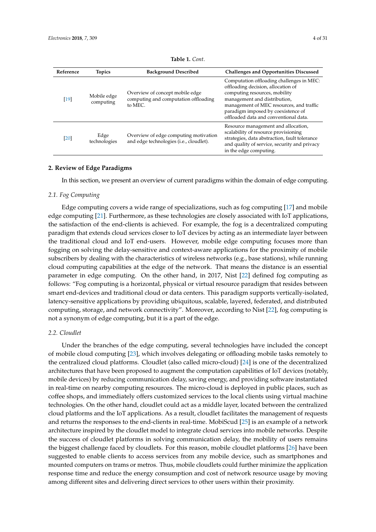<span id="page-3-0"></span>

| Reference | <b>Topics</b>            | <b>Background Described</b>                                                        | <b>Challenges and Opportunities Discussed</b>                                                                                                                                                                                                                               |
|-----------|--------------------------|------------------------------------------------------------------------------------|-----------------------------------------------------------------------------------------------------------------------------------------------------------------------------------------------------------------------------------------------------------------------------|
| [19]      | Mobile edge<br>computing | Overview of concept mobile edge<br>computing and computation offloading<br>to MEC. | Computation offloading challenges in MEC:<br>offloading decision, allocation of<br>computing resources, mobility<br>management and distribution,<br>management of MEC resources, and traffic<br>paradigm imposed by coexistence of<br>offloaded data and conventional data. |
| $[20]$    | Edge<br>technologies     | Overview of edge computing motivation<br>and edge technologies (i.e., cloudlet).   | Resource management and allocation,<br>scalability of resource provisioning<br>strategies, data abstraction, fault tolerance<br>and quality of service, security and privacy<br>in the edge computing.                                                                      |

**Table 1.** *Cont*.

#### <span id="page-3-1"></span>**2. Review of Edge Paradigms**

In this section, we present an overview of current paradigms within the domain of edge computing.

#### *2.1. Fog Computing*

Edge computing covers a wide range of specializations, such as fog computing [\[17\]](#page-26-3) and mobile edge computing [\[21\]](#page-26-7). Furthermore, as these technologies are closely associated with IoT applications, the satisfaction of the end-clients is achieved. For example, the fog is a decentralized computing paradigm that extends cloud services closer to IoT devices by acting as an intermediate layer between the traditional cloud and IoT end-users. However, mobile edge computing focuses more than fogging on solving the delay-sensitive and context-aware applications for the proximity of mobile subscribers by dealing with the characteristics of wireless networks (e.g., base stations), while running cloud computing capabilities at the edge of the network. That means the distance is an essential parameter in edge computing. On the other hand, in 2017, Nist [\[22\]](#page-26-8) defined fog computing as follows: "Fog computing is a horizontal, physical or virtual resource paradigm that resides between smart end-devices and traditional cloud or data centers. This paradigm supports vertically-isolated, latency-sensitive applications by providing ubiquitous, scalable, layered, federated, and distributed computing, storage, and network connectivity". Moreover, according to Nist [\[22\]](#page-26-8), fog computing is not a synonym of edge computing, but it is a part of the edge.

#### *2.2. Cloudlet*

Under the branches of the edge computing, several technologies have included the concept of mobile cloud computing [\[23\]](#page-26-9), which involves delegating or offloading mobile tasks remotely to the centralized cloud platforms. Cloudlet (also called micro-cloud) [\[24\]](#page-26-10) is one of the decentralized architectures that have been proposed to augment the computation capabilities of IoT devices (notably, mobile devices) by reducing communication delay, saving energy, and providing software instantiated in real-time on nearby computing resources. The micro-cloud is deployed in public places, such as coffee shops, and immediately offers customized services to the local clients using virtual machine technologies. On the other hand, cloudlet could act as a middle layer, located between the centralized cloud platforms and the IoT applications. As a result, cloudlet facilitates the management of requests and returns the responses to the end-clients in real-time. MobiScud [\[25\]](#page-26-11) is an example of a network architecture inspired by the cloudlet model to integrate cloud services into mobile networks. Despite the success of cloudlet platforms in solving communication delay, the mobility of users remains the biggest challenge faced by cloudlets. For this reason, mobile cloudlet platforms [\[26\]](#page-26-12) have been suggested to enable clients to access services from any mobile device, such as smartphones and mounted computers on trams or metros. Thus, mobile cloudlets could further minimize the application response time and reduce the energy consumption and cost of network resource usage by moving among different sites and delivering direct services to other users within their proximity.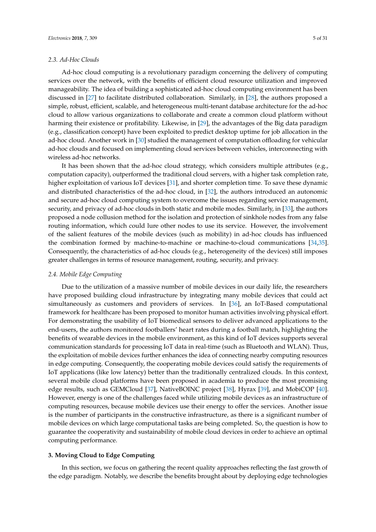#### *2.3. Ad-Hoc Clouds*

Ad-hoc cloud computing is a revolutionary paradigm concerning the delivery of computing services over the network, with the benefits of efficient cloud resource utilization and improved manageability. The idea of building a sophisticated ad-hoc cloud computing environment has been discussed in [\[27\]](#page-26-13) to facilitate distributed collaboration. Similarly, in [\[28\]](#page-26-14), the authors proposed a simple, robust, efficient, scalable, and heterogeneous multi-tenant database architecture for the ad-hoc cloud to allow various organizations to collaborate and create a common cloud platform without harming their existence or profitability. Likewise, in [\[29\]](#page-26-15), the advantages of the Big data paradigm (e.g., classification concept) have been exploited to predict desktop uptime for job allocation in the ad-hoc cloud. Another work in [\[30\]](#page-26-16) studied the management of computation offloading for vehicular ad-hoc clouds and focused on implementing cloud services between vehicles, interconnecting with wireless ad-hoc networks.

It has been shown that the ad-hoc cloud strategy, which considers multiple attributes (e.g., computation capacity), outperformed the traditional cloud servers, with a higher task completion rate, higher exploitation of various IoT devices [\[31\]](#page-26-17), and shorter completion time. To save these dynamic and distributed characteristics of the ad-hoc cloud, in [\[32\]](#page-26-18), the authors introduced an autonomic and secure ad-hoc cloud computing system to overcome the issues regarding service management, security, and privacy of ad-hoc clouds in both static and mobile modes. Similarly, in [\[33\]](#page-26-19), the authors proposed a node collusion method for the isolation and protection of sinkhole nodes from any false routing information, which could lure other nodes to use its service. However, the involvement of the salient features of the mobile devices (such as mobility) in ad-hoc clouds has influenced the combination formed by machine-to-machine or machine-to-cloud communications [\[34,](#page-26-20)[35\]](#page-26-21). Consequently, the characteristics of ad-hoc clouds (e.g., heterogeneity of the devices) still imposes greater challenges in terms of resource management, routing, security, and privacy.

#### *2.4. Mobile Edge Computing*

Due to the utilization of a massive number of mobile devices in our daily life, the researchers have proposed building cloud infrastructure by integrating many mobile devices that could act simultaneously as customers and providers of services. In [\[36\]](#page-26-22), an IoT-Based computational framework for healthcare has been proposed to monitor human activities involving physical effort. For demonstrating the usability of IoT biomedical sensors to deliver advanced applications to the end-users, the authors monitored footballers' heart rates during a football match, highlighting the benefits of wearable devices in the mobile environment, as this kind of IoT devices supports several communication standards for processing IoT data in real-time (such as Bluetooth and WLAN). Thus, the exploitation of mobile devices further enhances the idea of connecting nearby computing resources in edge computing. Consequently, the cooperating mobile devices could satisfy the requirements of IoT applications (like low latency) better than the traditionally centralized clouds. In this context, several mobile cloud platforms have been proposed in academia to produce the most promising edge results, such as GEMCloud [\[37\]](#page-27-0), NativeBOINC project [\[38\]](#page-27-1), Hyrax [\[39\]](#page-27-2), and MobiCOP [\[40\]](#page-27-3). However, energy is one of the challenges faced while utilizing mobile devices as an infrastructure of computing resources, because mobile devices use their energy to offer the services. Another issue is the number of participants in the constructive infrastructure, as there is a significant number of mobile devices on which large computational tasks are being completed. So, the question is how to guarantee the cooperativity and sustainability of mobile cloud devices in order to achieve an optimal computing performance.

#### <span id="page-4-0"></span>**3. Moving Cloud to Edge Computing**

In this section, we focus on gathering the recent quality approaches reflecting the fast growth of the edge paradigm. Notably, we describe the benefits brought about by deploying edge technologies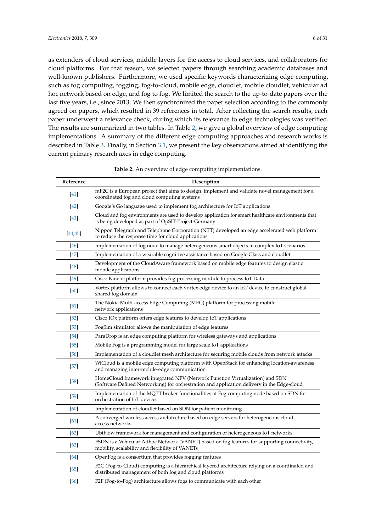as extenders of cloud services, middle layers for the access to cloud services, and collaborators for cloud platforms. For that reason, we selected papers through searching academic databases and well-known publishers. Furthermore, we used specific keywords characterizing edge computing, such as fog computing, fogging, fog-to-cloud, mobile edge, cloudlet, mobile cloudlet, vehicular ad hoc network based on edge, and fog to fog. We limited the search to the up-to-date papers over the last five years, i.e., since 2013. We then synchronized the paper selection according to the commonly agreed on papers, which resulted in 39 references in total. After collecting the search results, each paper underwent a relevance check, during which its relevance to edge technologies was verified. The results are summarized in two tables. In Table [2,](#page-5-0) we give a global overview of edge computing implementations. A summary of the different edge computing approaches and research works is described in Table [3.](#page-13-0) Finally, in Section [3.1,](#page-14-1) we present the key observations aimed at identifying the current primary research axes in edge computing.

<span id="page-5-0"></span>

| Reference         | Description                                                                                                                                                                |
|-------------------|----------------------------------------------------------------------------------------------------------------------------------------------------------------------------|
| $[41]$            | mF2C is a European project that aims to design, implement and validate novel management for a<br>coordinated fog and cloud computing systems                               |
| $[42]$            | Google's Go language used to implement fog architecture for IoT applications                                                                                               |
| $[43]$            | Cloud and fog environments are used to develop application for smart healthcare environments that<br>is being developed as part of OpSIT-Project-Germany                   |
| [44, 45]          | Nippon Telegraph and Telephone Corporation (NTT) developed an edge accelerated web platform<br>to reduce the response time for cloud applications                          |
| $[46]$            | Implementation of fog node to manage heterogeneous smart objects in complex IoT scenarios                                                                                  |
| [47]              | Implementation of a wearable cognitive assistance based on Google Glass and cloudlet                                                                                       |
| [48]              | Development of the CloudAware framework based on mobile edge features to design elastic<br>mobile applications                                                             |
| $[49]$            | Cisco Kinetic platform provides fog processing module to process IoT Data                                                                                                  |
| [50]              | Vortex platform allows to connect each vortex edge device to an IoT device to construct global<br>shared fog domain                                                        |
| $\left[51\right]$ | The Nokia Multi-access Edge Computing (MEC) platform for processing mobile<br>network applications                                                                         |
| $[52]$            | Cisco IOx platform offers edge features to develop IoT applications                                                                                                        |
| [53]              | FogSim simulator allows the manipulation of edge features                                                                                                                  |
| [54]              | ParaDrop is an edge computing platform for wireless gateways and applications                                                                                              |
| $[55]$            | Mobile Fog is a programming model for large scale IoT applications                                                                                                         |
| [56]              | Implementation of a cloudlet mesh architecture for securing mobile clouds from network attacks                                                                             |
| [57]              | WiCloud is a mobile edge computing platform with OpenStack for enhancing location-awareness<br>and managing inter-mobile-edge communication                                |
| [58]              | HomeCloud framework integrated NFV (Network Function Virtualization) and SDN<br>(Software Defined Networking) for orchestration and application delivery in the Edge-cloud |
| $[59]$            | Implementation of the MQTT broker functionalities at Fog computing node based on SDN for<br>orchestration of IoT devices                                                   |
| [60]              | Implementation of cloudlet based on SDN for patient monitoring                                                                                                             |
| [61]              | A converged wireless access architecture based on edge servers for heterogeneous cloud<br>access networks                                                                  |
| [62]              | UbiFlow framework for management and configuration of heterogeneous IoT networks                                                                                           |
| [63]              | FSDN is a Vehicular Adhoc Network (VANET) based on fog features for supporting connectivity,<br>mobility, scalability and flexibility of VANETs                            |
| [64]              | OpenFog is a consortium that provides fogging features                                                                                                                     |
| [65]              | F2C (Fog-to-Cloud) computing is a hierarchical layered architecture relying on a coordinated and<br>distributed management of both fog and cloud platforms                 |
| [66]              | F2F (Fog-to-Fog) architecture allows fogs to communicate with each other                                                                                                   |

**Table 2.** An overview of edge computing implementations.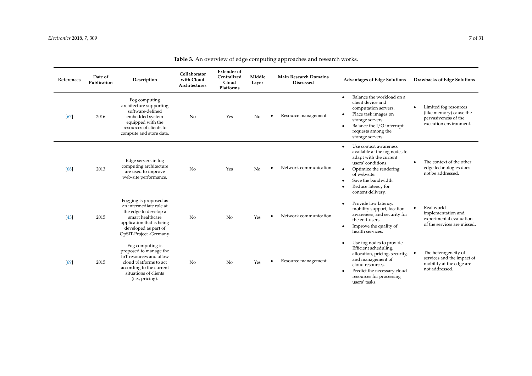| References | Date of<br>Publication | Description                                                                                                                                                                    | Collaborator<br>with Cloud<br>Architectures | <b>Extender</b> of<br>Centralized<br>Cloud<br>Platforms | Middle<br>Layer | <b>Main Research Domains</b><br><b>Discussed</b> | <b>Advantages of Edge Solutions</b>                                                                                                                                                                                                  | <b>Drawbacks of Edge Solutions</b>                                                                              |
|------------|------------------------|--------------------------------------------------------------------------------------------------------------------------------------------------------------------------------|---------------------------------------------|---------------------------------------------------------|-----------------|--------------------------------------------------|--------------------------------------------------------------------------------------------------------------------------------------------------------------------------------------------------------------------------------------|-----------------------------------------------------------------------------------------------------------------|
| [67]       | 2016                   | Fog computing<br>architecture supporting<br>software-defined<br>embedded system<br>equipped with the<br>resources of clients to<br>compute and store data.                     | No                                          | Yes                                                     | No              | Resource management                              | Balance the workload on a<br>$\bullet$<br>client device and<br>computation servers.<br>Place task images on<br>$\bullet$<br>storage servers.<br>Balance the I/O interrupt<br>requests among the<br>storage servers.                  | Limited fog resources<br>$\bullet$<br>(like memory) cause the<br>pervasiveness of the<br>execution environment. |
| [68]       | 2013                   | Edge servers in fog<br>computing architecture<br>are used to improve<br>web-site performance.                                                                                  | No                                          | Yes                                                     | No              | Network communication                            | Use context awareness<br>$\bullet$<br>available at the fog nodes to<br>adapt with the current<br>users' conditions.<br>Optimize the rendering<br>of web-site.<br>Save the bandwidth.<br>٠<br>Reduce latency for<br>content delivery. | The context of the other<br>$\bullet$<br>edge technologies does<br>not be addressed.                            |
| $[43]$     | 2015                   | Fogging is proposed as<br>an intermediate role at<br>the edge to develop a<br>smart healthcare<br>application that is being<br>developed as part of<br>OpSIT-Project -Germany. | <b>No</b>                                   | No                                                      | Yes             | Network communication                            | Provide low latency,<br>٠<br>mobility support, location<br>awareness, and security for<br>the end-users.<br>Improve the quality of<br>٠<br>health services.                                                                          | Real world<br>implementation and<br>experimental evaluation<br>of the services are missed.                      |
| [69]       | 2015                   | Fog computing is<br>proposed to manage the<br>IoT resources and allow<br>cloud platforms to act<br>according to the current<br>situations of clients<br>(i.e., pricing).       | No                                          | No                                                      | Yes             | Resource management                              | Use fog nodes to provide<br>$\bullet$<br>Efficient scheduling,<br>allocation, pricing, security,<br>and management of<br>cloud resources.<br>Predict the necessary cloud<br>resources for processing<br>users' tasks.                | The heterogeneity of<br>٠<br>services and the impact of<br>mobility at the edge are<br>not addressed.           |

**Table 3.** An overview of edge computing approaches and research works.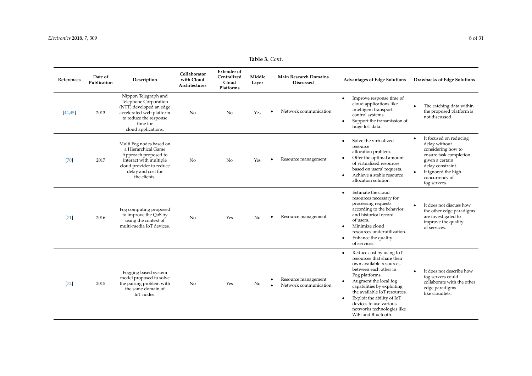| References | Date of<br>Publication | Description                                                                                                                                                         | Collaborator<br>with Cloud<br>Architectures | <b>Extender</b> of<br>Centralized<br>Cloud<br>Platforms | Middle<br>Layer | <b>Main Research Domains</b><br><b>Discussed</b> | <b>Advantages of Edge Solutions</b>                                                                                                                                                                                                                                                                                                           | <b>Drawbacks of Edge Solutions</b>                                                                                                                                                       |
|------------|------------------------|---------------------------------------------------------------------------------------------------------------------------------------------------------------------|---------------------------------------------|---------------------------------------------------------|-----------------|--------------------------------------------------|-----------------------------------------------------------------------------------------------------------------------------------------------------------------------------------------------------------------------------------------------------------------------------------------------------------------------------------------------|------------------------------------------------------------------------------------------------------------------------------------------------------------------------------------------|
| [44,45]    | 2013                   | Nippon Telegraph and<br>Telephone Corporation<br>(NTT) developed an edge<br>accelerated web platform<br>to reduce the response<br>time for<br>cloud applications.   | No                                          | No                                                      | Yes             | Network communication                            | Improve response time of<br>cloud applications like<br>intelligent transport<br>control systems.<br>Support the transmission of<br>$\bullet$<br>huge IoT data.                                                                                                                                                                                | The catching data within<br>the proposed platform is<br>not discussed.                                                                                                                   |
| [70]       | 2017                   | Multi Fog nodes based on<br>a Hierarchical Game<br>Approach proposed to<br>interact with multiple<br>cloud provider to reduce<br>delay and cost for<br>the clients. | No                                          | No                                                      | Yes             | Resource management                              | Solve the virtualized<br>resource<br>allocation problem.<br>Offer the optimal amount<br>of virtualized resources<br>based on users' requests.<br>Achieve a stable resource<br>allocation solution.                                                                                                                                            | It focused on reducing<br>delay without<br>considering how to<br>ensure task completion<br>given a certain<br>delay constraint.<br>It ignored the high<br>concurrency of<br>fog servers. |
| $[71]$     | 2016                   | Fog computing proposed<br>to improve the QoS by<br>using the context of<br>multi-media IoT devices.                                                                 | No                                          | Yes                                                     | No.             | Resource management                              | Estimate the cloud<br>resources necessary for<br>processing requests<br>according to the behavior<br>and historical record<br>of users.<br>Minimize cloud<br>resources underutilization.<br>Enhance the quality<br>of services.                                                                                                               | It does not discuss how<br>the other edge paradigms<br>are investigated to<br>improve the quality<br>of services.                                                                        |
| [72]       | 2015                   | Fogging based system<br>model proposed to solve<br>the pairing problem with<br>the same domain of<br>IoT nodes.                                                     | No                                          | Yes                                                     | No              | Resource management<br>Network communication     | Reduce cost by using IoT<br>resources that share their<br>own available resources<br>between each other in<br>Fog platforms.<br>Augment the local fog<br>capabilities by exploiting<br>the available IoT resources.<br>Exploit the ability of IoT<br>$\bullet$<br>devices to use various<br>networks technologies like<br>WiFi and Bluetooth. | It does not describe how<br>fog servers could<br>collaborate with the other<br>edge paradigms<br>like cloudlets.                                                                         |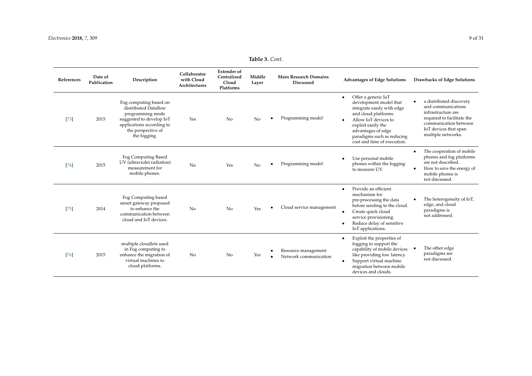|  | <b>Table 3.</b> Cont. |
|--|-----------------------|
|  |                       |

| References | Date of<br>Publication | Description                                                                                                                                                       | Collaborator<br>with Cloud<br>Architectures | <b>Extender of</b><br>Centralized<br>Cloud<br>Platforms | Middle<br>Layer | <b>Main Research Domains</b><br><b>Discussed</b> | <b>Advantages of Edge Solutions</b>                                                                                                                                                                                                               | <b>Drawbacks of Edge Solutions</b>                                                                                                                                        |
|------------|------------------------|-------------------------------------------------------------------------------------------------------------------------------------------------------------------|---------------------------------------------|---------------------------------------------------------|-----------------|--------------------------------------------------|---------------------------------------------------------------------------------------------------------------------------------------------------------------------------------------------------------------------------------------------------|---------------------------------------------------------------------------------------------------------------------------------------------------------------------------|
| $[73]$     | 2015                   | Fog computing based on<br>distributed Dataflow<br>programming mode<br>suggested to develop IoT<br>applications according to<br>the perspective of<br>the fogging. | Yes                                         | N <sub>o</sub>                                          | N <sub>o</sub>  | Programming model                                | Offer a generic IoT<br>$\bullet$<br>development model that<br>integrate easily with edge<br>and cloud platforms.<br>Allow IoT devices to<br>exploit easily the<br>advantages of edge<br>paradigms such as reducing<br>cost and time of execution. | a distributed discovery<br>and communications<br>infrastructure are<br>required to facilitate the<br>communication between<br>IoT devices that span<br>multiple networks. |
| $[74]$     | 2015                   | Fog Computing Based<br>UV (ultraviolet radiation)<br>measurement for<br>mobile phones.                                                                            | No                                          | Yes                                                     | N <sub>o</sub>  | Programming model                                | Use personal mobile<br>$\bullet$<br>phones within the fogging<br>to measure UV.                                                                                                                                                                   | The cooperation of mobile<br>$\bullet$<br>phones and fog platforms<br>are not described.<br>How to save the energy of<br>mobile phones is<br>not discussed.               |
| $[75]$     | 2014                   | Fog Computing based<br>smart gateway proposed<br>to enhance the<br>communication between<br>cloud and IoT devices.                                                | No                                          | No                                                      | Yes             | Cloud service management                         | Provide an efficient<br>$\bullet$<br>mechanism for<br>pre-processing the data<br>before sending to the cloud.<br>Create quick cloud<br>service provisioning.<br>Reduce delay of sensitive<br>IoT applications.                                    | The heterogeneity of IoT,<br>edge, and cloud<br>paradigms is<br>not addressed.                                                                                            |
| [76]       | 2015                   | multiple cloudlets used<br>in Fog computing to<br>enhance the migration of<br>virtual machines to<br>cloud platforms.                                             | No                                          | N <sub>o</sub>                                          | Yes             | Resource management<br>Network communication     | Exploit the properties of<br>$\bullet$<br>fogging to support the<br>capability of mobile devices<br>like providing low latency.<br>Support virtual machine<br>$\bullet$<br>migration between mobile<br>devices and clouds.                        | The other edge<br>paradigms are<br>not discussed.                                                                                                                         |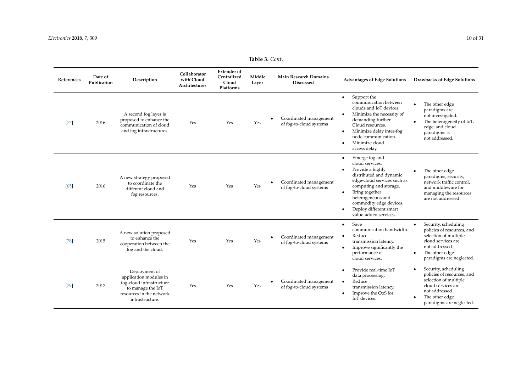| References | Date of<br>Publication | Description                                                                                                                             | Collaborator<br>with Cloud<br>Architectures | <b>Extender</b> of<br>Centralized<br>Cloud<br>Platforms | Middle<br>Layer | <b>Main Research Domains</b><br><b>Discussed</b>  | <b>Advantages of Edge Solutions</b>                                                                                                                                                                                                                                         | <b>Drawbacks of Edge Solutions</b>                                                                                                                                     |
|------------|------------------------|-----------------------------------------------------------------------------------------------------------------------------------------|---------------------------------------------|---------------------------------------------------------|-----------------|---------------------------------------------------|-----------------------------------------------------------------------------------------------------------------------------------------------------------------------------------------------------------------------------------------------------------------------------|------------------------------------------------------------------------------------------------------------------------------------------------------------------------|
| [77]       | 2016                   | A second fog layer is<br>proposed to enhance the<br>communication of cloud<br>and fog infrastructures.                                  | Yes                                         | Yes                                                     | Yes             | Coordinated management<br>of fog-to-cloud systems | Support the<br>$\bullet$<br>communication between<br>clouds and IoT devices.<br>Minimize the necessity of<br>demanding further<br>Cloud resources.<br>Minimize delay inter-fog<br>$\bullet$<br>node communication.<br>Minimize cloud<br>access delay.                       | The other edge<br>paradigms are<br>not investigated.<br>The heterogeneity of IoT,<br>edge, and cloud<br>paradigms is<br>not addressed.                                 |
| 65         | 2016                   | A new strategy proposed<br>to coordinate the<br>different cloud and<br>fog resources.                                                   | Yes                                         | Yes                                                     | Yes             | Coordinated management<br>of fog-to-cloud systems | Emerge fog and<br>$\bullet$<br>cloud services.<br>Provide a highly<br>distributed and dynamic<br>edge-cloud services such as<br>computing and storage.<br>Bring together<br>heterogeneous and<br>commodity edge devices.<br>Deploy different smart<br>value-added services. | The other edge<br>paradigms, security,<br>network traffic control.<br>and middleware for<br>managing the resources<br>are not addressed.                               |
| [78]       | 2015                   | A new solution proposed<br>to enhance the<br>cooperation between the<br>fog and the cloud.                                              | Yes                                         | Yes                                                     | Yes             | Coordinated management<br>of fog-to-cloud systems | Save<br>$\bullet$<br>communication bandwidth.<br>Reduce<br>٠<br>transmission latency.<br>Improve significantly the<br>performance of<br>cloud services.                                                                                                                     | Security, scheduling<br>policies of resources, and<br>selection of multiple<br>cloud services are<br>not addressed.<br>The other edge<br>٠<br>paradigms are neglected. |
| [79]       | 2017                   | Deployment of<br>application modules in<br>fog-cloud infrastructure<br>to manage the IoT<br>resources in the network<br>infrastructure. | Yes                                         | Yes                                                     | Yes             | Coordinated management<br>of fog-to-cloud systems | Provide real-time IoT<br>data processing.<br>Reduce<br>$\bullet$<br>transmission latency.<br>Improve the QoS for<br>$\bullet$<br>IoT devices.                                                                                                                               | Security, scheduling<br>٠<br>policies of resources, and<br>selection of multiple<br>cloud services are<br>not addressed.<br>The other edge<br>paradigms are neglected. |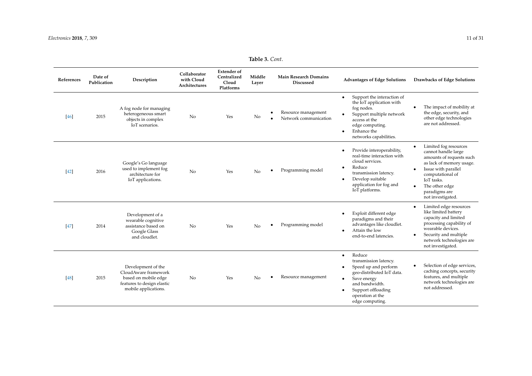| References | Date of<br>Publication | Description                                                                                                              | Collaborator<br>with Cloud<br>Architectures | <b>Extender of</b><br>Centralized<br>Cloud<br>Platforms | Middle<br>Layer | <b>Main Research Domains</b><br><b>Discussed</b> | <b>Advantages of Edge Solutions</b>                                                                                                                                                                                            | <b>Drawbacks of Edge Solutions</b>                                                                                                                                                                                                 |
|------------|------------------------|--------------------------------------------------------------------------------------------------------------------------|---------------------------------------------|---------------------------------------------------------|-----------------|--------------------------------------------------|--------------------------------------------------------------------------------------------------------------------------------------------------------------------------------------------------------------------------------|------------------------------------------------------------------------------------------------------------------------------------------------------------------------------------------------------------------------------------|
| [46]       | 2015                   | A fog node for managing<br>heterogeneous smart<br>objects in complex<br>IoT scenarios.                                   | No                                          | Yes                                                     | No.             | Resource management<br>Network communication     | Support the interaction of<br>$\bullet$<br>the IoT application with<br>fog nodes.<br>Support multiple network<br>access at the<br>edge computing.<br>Enhance the<br>$\bullet$<br>networks capabilities.                        | The impact of mobility at<br>the edge, security, and<br>other edge technologies<br>are not addressed.                                                                                                                              |
| $[42]$     | 2016                   | Google's Go language<br>used to implement fog<br>architecture for<br>IoT applications.                                   | No                                          | Yes                                                     | No              | Programming model                                | Provide interoperability,<br>$\bullet$<br>real-time interaction with<br>cloud services.<br>Reduce<br>transmission latency.<br>Develop suitable<br>$\bullet$<br>application for fog and<br>IoT platforms.                       | Limited fog resources<br>$\bullet$<br>cannot handle large<br>amounts of requests such<br>as lack of memory usage.<br>Issue with parallel<br>computational of<br>IoT tasks.<br>The other edge<br>paradigms are<br>not investigated. |
| $[47]$     | 2014                   | Development of a<br>wearable cognitive<br>assistance based on<br>Google Glass<br>and cloudlet.                           | No                                          | Yes                                                     | No              | Programming model                                | Exploit different edge<br>$\bullet$<br>paradigms and their<br>advantages like cloudlet.<br>Attain the low<br>end-to-end latencies.                                                                                             | Limited edge resources<br>like limited battery<br>capacity and limited<br>processing capability of<br>wearable devices.<br>Security and multiple<br>network technologies are<br>not investigated.                                  |
| [48]       | 2015                   | Development of the<br>CloudAware framework<br>based on mobile edge<br>features to design elastic<br>mobile applications. | No                                          | Yes                                                     | No              | Resource management                              | Reduce<br>$\bullet$<br>transmission latency.<br>Speed up and perform<br>٠<br>geo-distributed IoT data.<br>Save energy<br>$\bullet$<br>and bandwidth.<br>Support offloading<br>$\bullet$<br>operation at the<br>edge computing. | Selection of edge services,<br>$\bullet$<br>caching concepts, security<br>features, and multiple<br>network technologies are<br>not addressed.                                                                                     |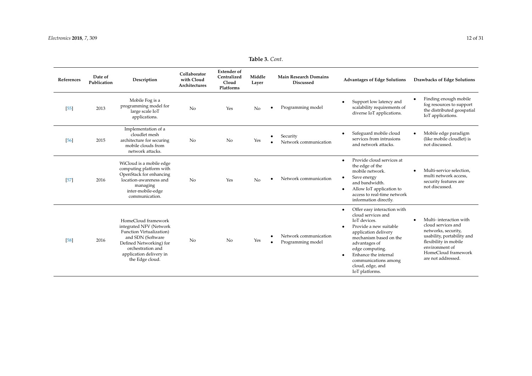| References | Date of<br>Publication | Description                                                                                                                                                                                   | Collaborator<br>with Cloud<br>Architectures | <b>Extender of</b><br>Centralized<br>Cloud<br>Platforms | Middle<br>Layer | <b>Main Research Domains</b><br><b>Discussed</b> | <b>Advantages of Edge Solutions</b>                                                                                                                                                                                                                                            | <b>Drawbacks of Edge Solutions</b>                                                                                                                                                        |
|------------|------------------------|-----------------------------------------------------------------------------------------------------------------------------------------------------------------------------------------------|---------------------------------------------|---------------------------------------------------------|-----------------|--------------------------------------------------|--------------------------------------------------------------------------------------------------------------------------------------------------------------------------------------------------------------------------------------------------------------------------------|-------------------------------------------------------------------------------------------------------------------------------------------------------------------------------------------|
| $[55]$     | 2013                   | Mobile Fog is a<br>programming model for<br>large scale IoT<br>applications.                                                                                                                  | No                                          | Yes                                                     | N <sub>o</sub>  | Programming model                                | Support low latency and<br>٠<br>scalability requirements of<br>diverse IoT applications.                                                                                                                                                                                       | Finding enough mobile<br>fog resources to support<br>the distributed geospatial<br>IoT applications.                                                                                      |
| [56]       | 2015                   | Implementation of a<br>cloudlet mesh<br>architecture for securing<br>mobile clouds from<br>network attacks.                                                                                   | No                                          | No                                                      | Yes             | Security<br>Network communication                | Safeguard mobile cloud<br>services from intrusions<br>and network attacks.                                                                                                                                                                                                     | Mobile edge paradigm<br>(like mobile cloudlet) is<br>not discussed.                                                                                                                       |
| $[57]$     | 2016                   | WiCloud is a mobile edge<br>computing platform with<br>OpenStack for enhancing<br>location-awareness and<br>managing<br>inter-mobile-edge<br>communication.                                   | No                                          | Yes                                                     | No              | Network communication                            | Provide cloud services at<br>the edge of the<br>mobile network.<br>Save energy<br>and bandwidth.<br>Allow IoT application to<br>access to real-time network<br>information directly.                                                                                           | Multi-service selection.<br>٠<br>multi network access,<br>security features are<br>not discussed.                                                                                         |
| [58]       | 2016                   | HomeCloud framework<br>integrated NFV (Network<br>Function Virtualization)<br>and SDN (Software<br>Defined Networking) for<br>orchestration and<br>application delivery in<br>the Edge cloud. | No                                          | No                                                      | Yes             | Network communication<br>Programming model       | Offer easy interaction with<br>cloud services and<br><b>IoT</b> devices.<br>Provide a new suitable<br>application delivery<br>mechanism based on the<br>advantages of<br>edge computing.<br>Enhance the internal<br>communications among<br>cloud, edge, and<br>IoT platforms. | Multi-interaction with<br>cloud services and<br>networks, security,<br>usability, portability and<br>flexibility in mobile<br>environment of<br>HomeCloud framework<br>are not addressed. |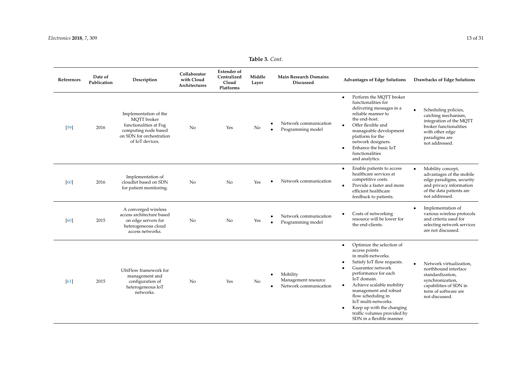| References | Date of<br>Publication | Description                                                                                                                           | Collaborator<br>with Cloud<br>Architectures | <b>Extender of</b><br>Centralized<br>Cloud<br>Platforms | Middle<br>Layer | <b>Main Research Domains</b><br><b>Discussed</b>         | <b>Advantages of Edge Solutions</b>                                                                                                                                                                                                                                                                                                                                 | <b>Drawbacks of Edge Solutions</b>                                                                                                                                  |
|------------|------------------------|---------------------------------------------------------------------------------------------------------------------------------------|---------------------------------------------|---------------------------------------------------------|-----------------|----------------------------------------------------------|---------------------------------------------------------------------------------------------------------------------------------------------------------------------------------------------------------------------------------------------------------------------------------------------------------------------------------------------------------------------|---------------------------------------------------------------------------------------------------------------------------------------------------------------------|
| [59]       | 2016                   | Implementation of the<br>MQTT broker<br>functionalities at Fog<br>computing node based<br>on SDN for orchestration<br>of IoT devices. | No                                          | Yes                                                     | No              | Network communication<br>Programming model               | Perform the MQTT broker<br>functionalities for<br>delivering messages in a<br>reliable manner to<br>the end-host.<br>Offer flexible and<br>manageable development<br>platform for the<br>network designers.<br>Enhance the basic IoT<br>functionalities<br>and analytics.                                                                                           | Scheduling policies,<br>$\bullet$<br>catching mechanism,<br>integration of the MQTT<br>broker functionalities<br>with other edge<br>paradigms are<br>not addressed. |
| 60         | 2016                   | Implementation of<br>cloudlet based on SDN<br>for patient monitoring.                                                                 | No                                          | No                                                      | Yes             | Network communication                                    | Enable patients to access<br>healthcare services at<br>competitive costs.<br>Provide a faster and more<br>efficient healthcare<br>feedback to patients.                                                                                                                                                                                                             | Mobility concept,<br>$\bullet$<br>advantages of the mobile<br>edge paradigms, security<br>and privacy information<br>of the data patients are<br>not addressed.     |
| 60         | 2015                   | A converged wireless<br>access architecture based<br>on edge servers for<br>heterogeneous cloud<br>access networks.                   | No                                          | No                                                      | Yes             | Network communication<br>Programming model               | Costs of networking<br>resource will be lower for<br>the end-clients.                                                                                                                                                                                                                                                                                               | Implementation of<br>various wireless protocols<br>and criteria used for<br>selecting network services<br>are not discussed.                                        |
| 61         | 2015                   | UbiFlow framework for<br>management and<br>configuration of<br>heterogeneous IoT<br>networks.                                         | No                                          | Yes                                                     | No              | Mobility<br>Management resource<br>Network communication | Optimize the selection of<br>$\bullet$<br>access points<br>in multi-networks.<br>Satisfy IoT flow requests.<br>Guarantee network<br>performance for each<br>IoT domain.<br>Achieve scalable mobility<br>management and robust<br>flow scheduling in<br>IoT multi-networks.<br>Keep up with the changing<br>traffic volumes provided by<br>SDN in a flexible manner. | Network virtualization.<br>northbound interface<br>standardization,<br>synchronization,<br>capabilities of SDN in<br>term of software are<br>not discussed.         |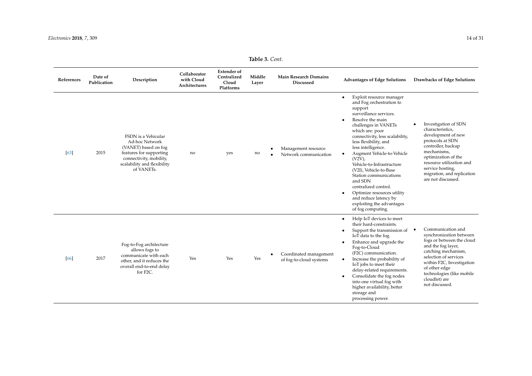<span id="page-13-0"></span>

| References | Date of<br>Publication | Description                                                                                                                                                      | Collaborator<br>with Cloud<br>Architectures | <b>Extender of</b><br>Centralized<br>Cloud<br>Platforms | Middle<br>Layer | <b>Main Research Domains</b><br><b>Discussed</b>  | <b>Advantages of Edge Solutions</b>                                                                                                                                                                                                                                                                                                                                                                                                                                                                                                          | <b>Drawbacks of Edge Solutions</b>                                                                                                                                                                                                                                         |
|------------|------------------------|------------------------------------------------------------------------------------------------------------------------------------------------------------------|---------------------------------------------|---------------------------------------------------------|-----------------|---------------------------------------------------|----------------------------------------------------------------------------------------------------------------------------------------------------------------------------------------------------------------------------------------------------------------------------------------------------------------------------------------------------------------------------------------------------------------------------------------------------------------------------------------------------------------------------------------------|----------------------------------------------------------------------------------------------------------------------------------------------------------------------------------------------------------------------------------------------------------------------------|
| [63]       | 2015                   | FSDN is a Vehicular<br>Ad-hoc Network<br>(VANET) based on fog<br>features for supporting<br>connectivity, mobility,<br>scalability and flexibility<br>of VANETs. | no                                          | yes                                                     | no              | Management resource<br>Network communication      | Exploit resource manager<br>$\bullet$<br>and Fog orchestration to<br>support<br>surveillance services.<br>Resolve the main<br>challenges in VANETs<br>which are: poor<br>connectivity, less scalability,<br>less flexibility, and<br>less intelligence.<br>Augment Vehicle-to-Vehicle<br>$\bullet$<br>$(V2V)$ ,<br>Vehicle-to-Infrastructure<br>(V2I), Vehicle-to-Base<br>Station communications<br>and SDN<br>centralized control.<br>Optimize resources utility<br>and reduce latency by<br>exploiting the advantages<br>of fog computing. | Investigation of SDN<br>characteristics,<br>development of new<br>protocols at SDN<br>controller, backup<br>mechanisms,<br>optimization of the<br>resource utilization and<br>service hosting,<br>migration, and replication<br>are not discussed.                         |
| [66]       | 2017                   | Fog-to-Fog architecture<br>allows fogs to<br>communicate with each<br>other, and it reduces the<br>overall end-to-end delay<br>for F2C.                          | Yes                                         | Yes                                                     | Yes             | Coordinated management<br>of fog-to-cloud systems | Help IoT devices to meet<br>$\bullet$<br>their hard-constraints.<br>Support the transmission of<br>$\bullet$<br>IoT data to the fog.<br>Enhance and upgrade the<br>$\bullet$<br>Fog-to-Cloud<br>(F2C) communication.<br>Increase the probability of<br>$\bullet$<br>IoT jobs to meet their<br>delay-related requirements.<br>Consolidate the fog nodes<br>into one virtual fog with<br>higher availability, better<br>storage and<br>processing power.                                                                                       | Communication and<br>$\bullet$<br>synchronization between<br>fogs or between the cloud<br>and the fog layer,<br>catching mechanism,<br>selection of services<br>within F2C, Investigation<br>of other edge<br>technologies (like mobile<br>cloudlet) are<br>not discussed. |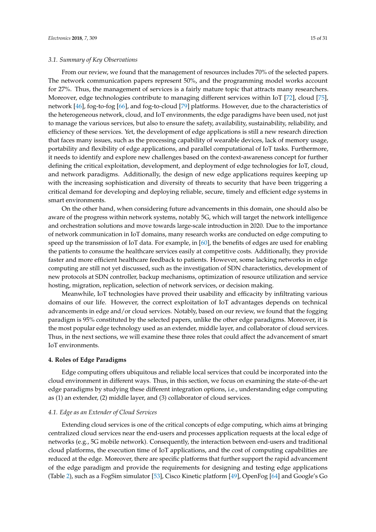<span id="page-14-1"></span>From our review, we found that the management of resources includes 70% of the selected papers. The network communication papers represent 50%, and the programming model works account for 27%. Thus, the management of services is a fairly mature topic that attracts many researchers. Moreover, edge technologies contribute to managing different services within IoT [\[72\]](#page-28-23), cloud [\[75\]](#page-28-24), network [\[46\]](#page-27-9), fog-to-fog [\[66\]](#page-28-7), and fog-to-cloud [\[79\]](#page-29-3) platforms. However, due to the characteristics of the heterogeneous network, cloud, and IoT environments, the edge paradigms have been used, not just to manage the various services, but also to ensure the safety, availability, sustainability, reliability, and efficiency of these services. Yet, the development of edge applications is still a new research direction that faces many issues, such as the processing capability of wearable devices, lack of memory usage, portability and flexibility of edge applications, and parallel computational of IoT tasks. Furthermore, it needs to identify and explore new challenges based on the context-awareness concept for further defining the critical exploitation, development, and deployment of edge technologies for IoT, cloud, and network paradigms. Additionally, the design of new edge applications requires keeping up with the increasing sophistication and diversity of threats to security that have been triggering a critical demand for developing and deploying reliable, secure, timely and efficient edge systems in smart environments.

On the other hand, when considering future advancements in this domain, one should also be aware of the progress within network systems, notably 5G, which will target the network intelligence and orchestration solutions and move towards large-scale introduction in 2020. Due to the importance of network communication in IoT domains, many research works are conducted on edge computing to speed up the transmission of IoT data. For example, in [\[60\]](#page-28-1), the benefits of edges are used for enabling the patients to consume the healthcare services easily at competitive costs. Additionally, they provide faster and more efficient healthcare feedback to patients. However, some lacking networks in edge computing are still not yet discussed, such as the investigation of SDN characteristics, development of new protocols at SDN controller, backup mechanisms, optimization of resource utilization and service hosting, migration, replication, selection of network services, or decision making.

Meanwhile, IoT technologies have proved their usability and efficacity by infiltrating various domains of our life. However, the correct exploitation of IoT advantages depends on technical advancements in edge and/or cloud services. Notably, based on our review, we found that the fogging paradigm is 95% constituted by the selected papers, unlike the other edge paradigms. Moreover, it is the most popular edge technology used as an extender, middle layer, and collaborator of cloud services. Thus, in the next sections, we will examine these three roles that could affect the advancement of smart IoT environments.

#### <span id="page-14-0"></span>**4. Roles of Edge Paradigms**

Edge computing offers ubiquitous and reliable local services that could be incorporated into the cloud environment in different ways. Thus, in this section, we focus on examining the state-of-the-art edge paradigms by studying these different integration options, i.e., understanding edge computing as (1) an extender, (2) middle layer, and (3) collaborator of cloud services.

#### *4.1. Edge as an Extender of Cloud Services*

Extending cloud services is one of the critical concepts of edge computing, which aims at bringing centralized cloud services near the end-users and processes application requests at the local edge of networks (e.g., 5G mobile network). Consequently, the interaction between end-users and traditional cloud platforms, the execution time of IoT applications, and the cost of computing capabilities are reduced at the edge. Moreover, there are specific platforms that further support the rapid advancement of the edge paradigm and provide the requirements for designing and testing edge applications (Table [2\)](#page-5-0), such as a FogSim simulator [\[53\]](#page-27-16), Cisco Kinetic platform [\[49\]](#page-27-12), OpenFog [\[64\]](#page-28-5) and Google's Go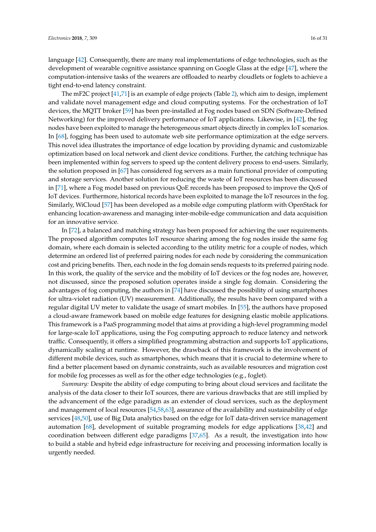language [\[42\]](#page-27-5). Consequently, there are many real implementations of edge technologies, such as the development of wearable cognitive assistance spanning on Google Glass at the edge [\[47\]](#page-27-10), where the computation-intensive tasks of the wearers are offloaded to nearby cloudlets or foglets to achieve a tight end-to-end latency constraint.

The mF2C project [\[41,](#page-27-4)[71\]](#page-28-25) is an example of edge projects (Table [2\)](#page-5-0), which aim to design, implement and validate novel management edge and cloud computing systems. For the orchestration of IoT devices, the MQTT broker [\[59\]](#page-28-0) has been pre-installed at Fog nodes based on SDN (Software-Defined Networking) for the improved delivery performance of IoT applications. Likewise, in [\[42\]](#page-27-5), the fog nodes have been exploited to manage the heterogeneous smart objects directly in complex IoT scenarios. In [\[68\]](#page-28-26), fogging has been used to automate web site performance optimization at the edge servers. This novel idea illustrates the importance of edge location by providing dynamic and customizable optimization based on local network and client device conditions. Further, the catching technique has been implemented within fog servers to speed up the content delivery process to end-users. Similarly, the solution proposed in [\[67\]](#page-28-27) has considered fog servers as a main functional provider of computing and storage services. Another solution for reducing the waste of IoT resources has been discussed in [\[71\]](#page-28-25), where a Fog model based on previous QoE records has been proposed to improve the QoS of IoT devices. Furthermore, historical records have been exploited to manage the IoT resources in the fog. Similarly, WiCloud [\[57\]](#page-27-20) has been developed as a mobile edge computing platform with OpenStack for enhancing location-awareness and managing inter-mobile-edge communication and data acquisition for an innovative service.

In [\[72\]](#page-28-23), a balanced and matching strategy has been proposed for achieving the user requirements. The proposed algorithm computes IoT resource sharing among the fog nodes inside the same fog domain, where each domain is selected according to the utility metric for a couple of nodes, which determine an ordered list of preferred pairing nodes for each node by considering the communication cost and pricing benefits. Then, each node in the fog domain sends requests to its preferred pairing node. In this work, the quality of the service and the mobility of IoT devices or the fog nodes are, however, not discussed, since the proposed solution operates inside a single fog domain. Considering the advantages of fog computing, the authors in [\[74\]](#page-28-28) have discussed the possibility of using smartphones for ultra-violet radiation (UV) measurement. Additionally, the results have been compared with a regular digital UV meter to validate the usage of smart mobiles. In [\[55\]](#page-27-18), the authors have proposed a cloud-aware framework based on mobile edge features for designing elastic mobile applications. This framework is a PaaS programming model that aims at providing a high-level programming model for large-scale IoT applications, using the Fog computing approach to reduce latency and network traffic. Consequently, it offers a simplified programming abstraction and supports IoT applications, dynamically scaling at runtime. However, the drawback of this framework is the involvement of different mobile devices, such as smartphones, which means that it is crucial to determine where to find a better placement based on dynamic constraints, such as available resources and migration cost for mobile fog processes as well as for the other edge technologies (e.g., foglet).

*Summary:* Despite the ability of edge computing to bring about cloud services and facilitate the analysis of the data closer to their IoT sources, there are various drawbacks that are still implied by the advancement of the edge paradigm as an extender of cloud services, such as the deployment and management of local resources [\[54,](#page-27-17)[58,](#page-27-21)[63\]](#page-28-4), assurance of the availability and sustainability of edge services [\[48](#page-27-11)[,50\]](#page-27-13), use of Big Data analytics based on the edge for IoT data-driven service management automation [\[68\]](#page-28-26), development of suitable programing models for edge applications [\[38,](#page-27-1)[42\]](#page-27-5) and coordination between different edge paradigms [\[37](#page-27-0)[,65\]](#page-28-6). As a result, the investigation into how to build a stable and hybrid edge infrastructure for receiving and processing information locally is urgently needed.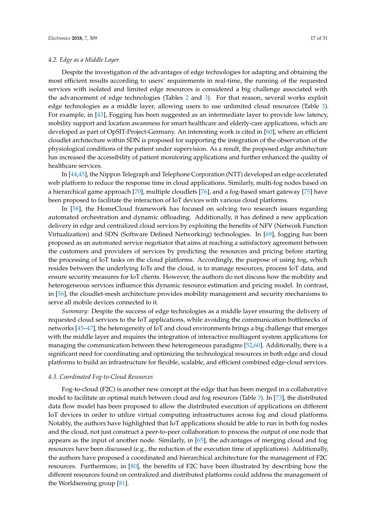#### *4.2. Edge as a Middle Layer*

Despite the investigation of the advantages of edge technologies for adapting and obtaining the most efficient results according to users' requirements in real-time, the running of the requested services with isolated and limited edge resources is considered a big challenge associated with the advancement of edge technologies (Tables [2](#page-5-0) and [3\)](#page-13-0). For that reason, several works exploit edge technologies as a middle layer, allowing users to use unlimited cloud resources (Table [3\)](#page-13-0). For example, in [\[43\]](#page-27-6), Fogging has been suggested as an intermediate layer to provide low latency, mobility support and location awareness for smart healthcare and elderly-care applications, which are developed as part of OpSIT-Project-Germany. An interesting work is cited in [\[60\]](#page-28-1), where an efficient cloudlet architecture within SDN is proposed for supporting the integration of the observation of the physiological conditions of the patient under supervision. As a result, the proposed edge architecture has increased the accessibility of patient monitoring applications and further enhanced the quality of healthcare services.

In [\[44](#page-27-7)[,45\]](#page-27-8), the Nippon Telegraph and Telephone Corporation (NTT) developed an edge-accelerated web platform to reduce the response time in cloud applications. Similarly, multi-fog nodes based on a hierarchical game approach [\[70\]](#page-28-29), multiple cloudlets [\[76\]](#page-28-30), and a fog-based smart gateway [\[75\]](#page-28-24) have been proposed to facilitate the interaction of IoT devices with various cloud platforms.

In [\[58\]](#page-27-21), the HomeCloud framework has focused on solving two research issues regarding automated orchestration and dynamic offloading. Additionally, it has defined a new application delivery in edge and centralized cloud services by exploiting the benefits of NFV (Network Function Virtualization) and SDN (Software Defined Networking) technologies. In [\[69\]](#page-28-31), fogging has been proposed as an automated service negotiator that aims at reaching a satisfactory agreement between the customers and providers of services by predicting the resources and pricing before starting the processing of IoT tasks on the cloud platforms. Accordingly, the purpose of using fog, which resides between the underlying IoTs and the cloud, is to manage resources, process IoT data, and ensure security measures for IoT clients. However, the authors do not discuss how the mobility and heterogeneous services influence this dynamic resource estimation and pricing model. In contrast, in [\[56\]](#page-27-19), the cloudlet-mesh architecture provides mobility management and security mechanisms to serve all mobile devices connected to it.

*Summary:* Despite the success of edge technologies as a middle layer ensuring the delivery of requested cloud services to the IoT applications, while avoiding the communication bottlenecks of networks [\[45](#page-27-8)[–47\]](#page-27-10), the heterogeneity of IoT and cloud environments brings a big challenge that emerges with the middle layer and requires the integration of interactive multiagent system applications for managing the communication between these heterogeneous paradigms [\[52,](#page-27-15)[60\]](#page-28-1). Additionally, there is a significant need for coordinating and optimizing the technological resources in both edge and cloud platforms to build an infrastructure for flexible, scalable, and efficient combined edge-cloud services.

#### *4.3. Coordinated Fog-to-Cloud Resources*

Fog-to-cloud (F2C) is another new concept at the edge that has been merged in a collaborative model to facilitate an optimal match between cloud and fog resources (Table [3\)](#page-13-0). In [\[73\]](#page-28-32), the distributed data flow model has been proposed to allow the distributed execution of applications on different IoT devices in order to utilize virtual computing infrastructures across fog and cloud platforms. Notably, the authors have highlighted that IoT applications should be able to run in both fog nodes and the cloud, not just construct a peer-to-peer collaboration to process the output of one node that appears as the input of another node. Similarly, in [\[65\]](#page-28-6), the advantages of merging cloud and fog resources have been discussed (e.g., the reduction of the execution time of applications). Additionally, the authors have proposed a coordinated and hierarchical architecture for the management of F2C resources. Furthermore, in [\[80\]](#page-29-4), the benefits of F2C have been illustrated by describing how the different resources found on centralized and distributed platforms could address the management of the Worldsensing group [\[81\]](#page-29-5).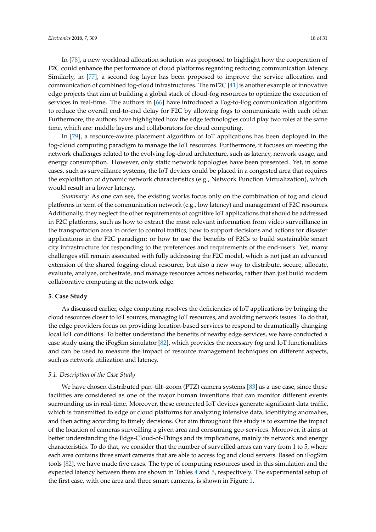In [\[78\]](#page-29-6), a new workload allocation solution was proposed to highlight how the cooperation of F2C could enhance the performance of cloud platforms regarding reducing communication latency. Similarly, in [\[77\]](#page-29-7), a second fog layer has been proposed to improve the service allocation and communication of combined fog-cloud infrastructures. The mF2C [\[41\]](#page-27-4) is another example of innovative edge projects that aim at building a global stack of cloud-fog resources to optimize the execution of services in real-time. The authors in [\[66\]](#page-28-7) have introduced a Fog-to-Fog communication algorithm to reduce the overall end-to-end delay for F2C by allowing fogs to communicate with each other. Furthermore, the authors have highlighted how the edge technologies could play two roles at the same time, which are: middle layers and collaborators for cloud computing.

In [\[79\]](#page-29-3), a resource-aware placement algorithm of IoT applications has been deployed in the fog-cloud computing paradigm to manage the IoT resources. Furthermore, it focuses on meeting the network challenges related to the evolving fog-cloud architecture, such as latency, network usage, and energy consumption. However, only static network topologies have been presented. Yet, in some cases, such as surveillance systems, the IoT devices could be placed in a congested area that requires the exploitation of dynamic network characteristics (e.g., Network Function Virtualization), which would result in a lower latency.

*Summary:* As one can see, the existing works focus only on the combination of fog and cloud platforms in term of the communication network (e.g., low latency) and management of F2C resources. Additionally, they neglect the other requirements of cognitive IoT applications that should be addressed in F2C platforms, such as how to extract the most relevant information from video surveillance in the transportation area in order to control traffics; how to support decisions and actions for disaster applications in the F2C paradigm; or how to use the benefits of F2Cs to build sustainable smart city infrastructure for responding to the preferences and requirements of the end-users. Yet, many challenges still remain associated with fully addressing the F2C model, which is not just an advanced extension of the shared fogging-cloud resource, but also a new way to distribute, secure, allocate, evaluate, analyze, orchestrate, and manage resources across networks, rather than just build modern collaborative computing at the network edge.

#### <span id="page-17-0"></span>**5. Case Study**

As discussed earlier, edge computing resolves the deficiencies of IoT applications by bringing the cloud resources closer to IoT sources, managing IoT resources, and avoiding network issues. To do that, the edge providers focus on providing location-based services to respond to dramatically changing local IoT conditions. To better understand the benefits of nearby edge services, we have conducted a case study using the iFogSim simulator [\[82\]](#page-29-8), which provides the necessary fog and IoT functionalities and can be used to measure the impact of resource management techniques on different aspects, such as network utilization and latency.

#### *5.1. Description of the Case Study*

We have chosen distributed pan–tilt–zoom (PTZ) camera systems [\[83\]](#page-29-9) as a use case, since these facilities are considered as one of the major human inventions that can monitor different events surrounding us in real-time. Moreover, these connected IoT devices generate significant data traffic, which is transmitted to edge or cloud platforms for analyzing intensive data, identifying anomalies, and then acting according to timely decisions. Our aim throughout this study is to examine the impact of the location of cameras surveilling a given area and consuming geo-services. Moreover, it aims at better understanding the Edge-Cloud-of-Things and its implications, mainly its network and energy characteristics. To do that, we consider that the number of surveilled areas can vary from 1 to 5, where each area contains three smart cameras that are able to access fog and cloud servers. Based on iFogSim tools [\[82\]](#page-29-8), we have made five cases. The type of computing resources used in this simulation and the expected latency between them are shown in Tables [4](#page-18-0) and [5,](#page-18-1) respectively. The experimental setup of the first case, with one area and three smart cameras, is shown in Figure [1.](#page-18-2)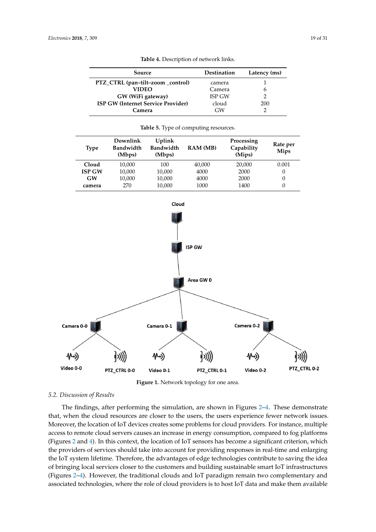<span id="page-18-0"></span>

| Source                                    | <b>Destination</b> | Latency (ms) |
|-------------------------------------------|--------------------|--------------|
| PTZ_CTRL (pan-tilt-zoom _control)         | camera             |              |
| <b>VIDEO</b>                              | Camera             | h            |
| GW (WiFi gateway)                         | ISP GW             |              |
| <b>ISP GW (Internet Service Provider)</b> | cloud              | 200          |
| Camera                                    | <b>GW</b>          |              |

**Table 4.** Description of network links.

<span id="page-18-1"></span>

| Type          | Downlink<br><b>Bandwidth</b><br>(Mbps) | <b>Uplink</b><br>Bandwidth<br>(Mbps) | RAM (MB) | Processing<br>Capability<br>(Mips) | Rate per<br>Mips |
|---------------|----------------------------------------|--------------------------------------|----------|------------------------------------|------------------|
| Cloud         | 10,000                                 | 100                                  | 40,000   | 20,000                             | 0.001            |
| <b>ISP GW</b> | 10,000                                 | 10,000                               | 4000     | 2000                               | 0                |
| <b>GW</b>     | 10,000                                 | 10,000                               | 4000     | 2000                               | 0                |
| camera        | 270                                    | 10,000                               | 1000     | 1400                               | 0                |

Table 5. Type of computing resources.

**Processing** 

<span id="page-18-2"></span>

**Figure 1.** Network topology for one area. **Figure 1.** Network topology for one area.

#### *5.2. Discussion of Results*

*5.2. Discussion of Results*  The findings, after performing the simulation, are shown in Figures [2](#page-19-0)[–4.](#page-20-0) These demonstrate that, when the cloud resources are closer to the users, the users experience fewer network issues. Moreover, the location of IoT devices creates some problems for cloud providers. For instance, multiple access to remote cloud servers causes an increase in energy consumption, compared to fog platforms (Figures 2 and 4). In this context, th[e](#page-19-0) location of IoT sensors has become a significant criterion, which the providers of services should take into account for providing responses in real-time and enlarging the IoT system lifetime. Therefore, the advantages of edge technologies contribute to saving the idea of bringing local services closer to the customers and building sustainable smart IoT infrastructures (Figures [2](#page-19-0)[–4\)](#page-20-0). However, the traditional clouds and IoT paradigm remain two complementary and associated technologies, where the role of cloud providers is to host IoT data and make them available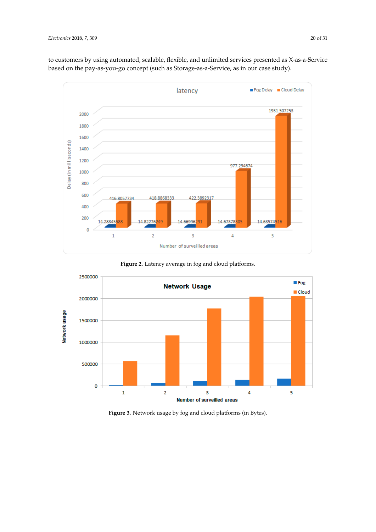<span id="page-19-0"></span>

to customers by using automated, scalable, flexible, and unlimited services presented as X-as-a-Service based on the pay-as-you-go concept (such as Storage-as-a-Service, as in our case study). to customers by using automated, scalable, flexible, and unlimited services presented as X-as-a-Service

## **Figure 2.** Latency average in fog and cloud platforms. **Figure 2.** Latency average in fog and cloud platforms. **Figure 2.** Latency average in fog and cloud platforms.



**Figure 3.** Network usage by fog and cloud platforms (in Bytes). **Figure 3.** Network usage by fog and cloud platforms (in Bytes).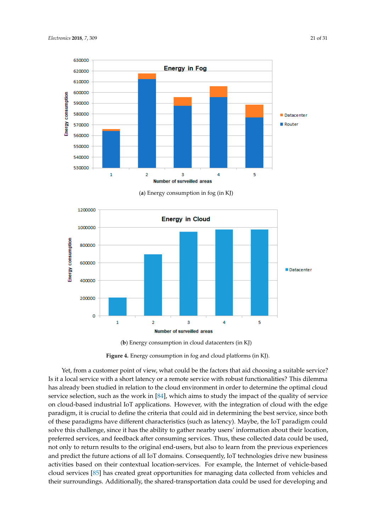<span id="page-20-0"></span>

(**a**) Energy consumption in fog (in KJ)







Yet, from a customer point of view, what could be the factors that aid choosing a suitable service? Yet, from a customer point of view, what could be the factors that aid choosing a suitable service? Is it a local service with a short latency or a remote service with robust functionalities? This dilemma Is it a local service with a short latency or a remote service with robust functionalities? This dilemma has already been studied in relation to the cloud environment in order to determine the optimal cloud has already been studied in relation to the cloud environment in order to determine the optimal cloud service selection, such as the work in  $[84]$ , which aims to study the impact of the quality of service cloud-based industrial IoT applications. However, with the integration of cloud with the edge on cloud-based industrial IoT applications. However, with the integration of cloud with the edge paradigm, it is crucial to define the criteria that could aid in determining the best service, since both paradigm, it is crucial to define the criteria that could aid in determining the best service, since both of these paradigms have different characteristics (such as latency). Maybe, the IoT paradigm could of these paradigms have different characteristics (such as latency). Maybe, the IoT paradigm could solve this challenge, since it has the ability to gather nearby users' information about their location, preferred services, and feedback after consuming services. Thus, these collected data could be used, preferred services, and feedback after consuming services. Thus, these collected data could be used, not only to return results to the original end-users, but also to learn from the previous experiences not only to return results to the original end-users, but also to learn from the previous experiences and predict the future actions of all IoT domains. Consequently, IoT technologies drive new business and predict the future actions of all IoT domains. Consequently, IoT technologies drive new business activities based on their contextual location-services. For example, the Internet of vehicle-based cloud services [\[85\]](#page-29-11) has created great opportunities for managing data collected from vehicles and surroundings. Additionally, the shared-transportation data could be used for developing and their surroundings. Additionally, the shared-transportation data could be used for developing and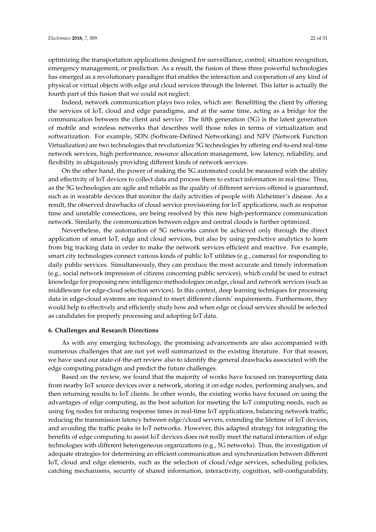optimizing the transportation applications designed for surveillance, control, situation recognition, emergency management, or prediction. As a result, the fusion of these three powerful technologies has emerged as a revolutionary paradigm that enables the interaction and cooperation of any kind of physical or virtual objects with edge and cloud services through the Internet. This latter is actually the fourth part of this fusion that we could not neglect.

Indeed, network communication plays two roles, which are: Benefitting the client by offering the services of IoT, cloud and edge paradigms, and at the same time, acting as a bridge for the communication between the client and service. The fifth generation (5G) is the latest generation of mobile and wireless networks that describes well those roles in terms of virtualization and softwarization. For example, SDN (Software-Defined Networking) and NFV (Network Function Virtualization) are two technologies that revolutionize 5G technologies by offering end-to-end real-time network services, high performance, resource allocation management, low latency, reliability, and flexibility in ubiquitously providing different kinds of network services.

On the other hand, the power of making the 5G automated could be measured with the ability and effectivity of IoT devices to collect data and process them to extract information in real-time. Thus, as the 5G technologies are agile and reliable as the quality of different services offered is guaranteed, such as in wearable devices that monitor the daily activities of people with Alzheimer's disease. As a result, the observed drawbacks of cloud service provisioning for IoT applications, such as response time and unstable connections, are being resolved by this new high-performance communication network. Similarly, the communication between edges and central clouds is further optimized.

Nevertheless, the automation of 5G networks cannot be achieved only through the direct application of smart IoT, edge and cloud services, but also by using predictive analytics to learn from big tracking data in order to make the network services efficient and reactive. For example, smart city technologies connect various kinds of public IoT utilities (e.g., cameras) for responding to daily public services. Simultaneously, they can produce the most accurate and timely information (e.g., social network impression of citizens concerning public services), which could be used to extract knowledge for proposing new intelligence methodologies on edge, cloud and network services (such as middleware for edge-cloud selection services). In this context, deep learning techniques for processing data in edge-cloud systems are required to meet different clients' requirements. Furthermore, they would help to effectively and efficiently study how and when edge or cloud services should be selected as candidates for properly processing and adopting IoT data.

#### <span id="page-21-0"></span>**6. Challenges and Research Directions**

As with any emerging technology, the promising advancements are also accompanied with numerous challenges that are not yet well summarized in the existing literature. For that reason, we have used our state-of-the-art review also to identify the general drawbacks associated with the edge computing paradigm and predict the future challenges.

Based on the review, we found that the majority of works have focused on transporting data from nearby IoT source devices over a network, storing it on edge nodes, performing analyses, and then returning results to IoT clients. In other words, the existing works have focused on using the advantages of edge computing, as the best solution for meeting the IoT computing needs, such as using fog nodes for reducing response times in real-time IoT applications, balancing network traffic, reducing the transmission latency between edge/cloud servers, extending the lifetime of IoT devices, and avoiding the traffic peaks in IoT networks. However, this adapted strategy for integrating the benefits of edge computing to assist IoT devices does not really meet the natural interaction of edge technologies with different heterogeneous organizations (e.g., 5G networks). Thus, the investigation of adequate strategies for determining an efficient communication and synchronization between different IoT, cloud and edge elements, such as the selection of cloud/edge services, scheduling policies, catching mechanisms, security of shared information, interactivity, cognition, self-configurability,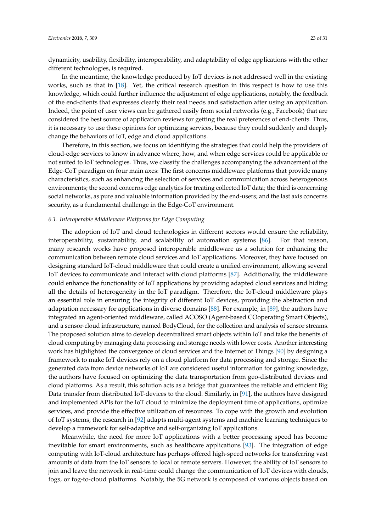dynamicity, usability, flexibility, interoperability, and adaptability of edge applications with the other different technologies, is required.

In the meantime, the knowledge produced by IoT devices is not addressed well in the existing works, such as that in [\[18\]](#page-26-4). Yet, the critical research question in this respect is how to use this knowledge, which could further influence the adjustment of edge applications, notably, the feedback of the end-clients that expresses clearly their real needs and satisfaction after using an application. Indeed, the point of user views can be gathered easily from social networks (e.g., Facebook) that are considered the best source of application reviews for getting the real preferences of end-clients. Thus, it is necessary to use these opinions for optimizing services, because they could suddenly and deeply change the behaviors of IoT, edge and cloud applications.

Therefore, in this section, we focus on identifying the strategies that could help the providers of cloud-edge services to know in advance where, how, and when edge services could be applicable or not suited to IoT technologies. Thus, we classify the challenges accompanying the advancement of the Edge-CoT paradigm on four main axes: The first concerns middleware platforms that provide many characteristics, such as enhancing the selection of services and communication across heterogenous environments; the second concerns edge analytics for treating collected IoT data; the third is concerning social networks, as pure and valuable information provided by the end-users; and the last axis concerns security, as a fundamental challenge in the Edge-CoT environment.

#### *6.1. Interoperable Middleware Platforms for Edge Computing*

The adoption of IoT and cloud technologies in different sectors would ensure the reliability, interoperability, sustainability, and scalability of automation systems [\[86\]](#page-29-12). For that reason, many research works have proposed interoperable middleware as a solution for enhancing the communication between remote cloud services and IoT applications. Moreover, they have focused on designing standard IoT-cloud middleware that could create a unified environment, allowing several IoT devices to communicate and interact with cloud platforms [\[87\]](#page-29-13). Additionally, the middleware could enhance the functionality of IoT applications by providing adapted cloud services and hiding all the details of heterogeneity in the IoT paradigm. Therefore, the IoT-cloud middleware plays an essential role in ensuring the integrity of different IoT devices, providing the abstraction and adaptation necessary for applications in diverse domains [\[88\]](#page-29-14). For example, in [\[89\]](#page-29-15), the authors have integrated an agent-oriented middleware, called ACOSO (Agent-based COoperating Smart Objects), and a sensor-cloud infrastructure, named BodyCloud, for the collection and analysis of sensor streams. The proposed solution aims to develop decentralized smart objects within IoT and take the benefits of cloud computing by managing data processing and storage needs with lower costs. Another interesting work has highlighted the convergence of cloud services and the Internet of Things [\[90\]](#page-29-16) by designing a framework to make IoT devices rely on a cloud platform for data processing and storage. Since the generated data from device networks of IoT are considered useful information for gaining knowledge, the authors have focused on optimizing the data transportation from geo-distributed devices and cloud platforms. As a result, this solution acts as a bridge that guarantees the reliable and efficient Big Data transfer from distributed IoT-devices to the cloud. Similarly, in [\[91\]](#page-29-17), the authors have designed and implemented APIs for the IoT cloud to minimize the deployment time of applications, optimize services, and provide the effective utilization of resources. To cope with the growth and evolution of IoT systems, the research in [\[92\]](#page-29-18) adapts multi-agent systems and machine learning techniques to develop a framework for self-adaptive and self-organizing IoT applications.

Meanwhile, the need for more IoT applications with a better processing speed has become inevitable for smart environments, such as healthcare applications [\[93\]](#page-29-19). The integration of edge computing with IoT-cloud architecture has perhaps offered high-speed networks for transferring vast amounts of data from the IoT sensors to local or remote servers. However, the ability of IoT sensors to join and leave the network in real-time could change the communication of IoT devices with clouds, fogs, or fog-to-cloud platforms. Notably, the 5G network is composed of various objects based on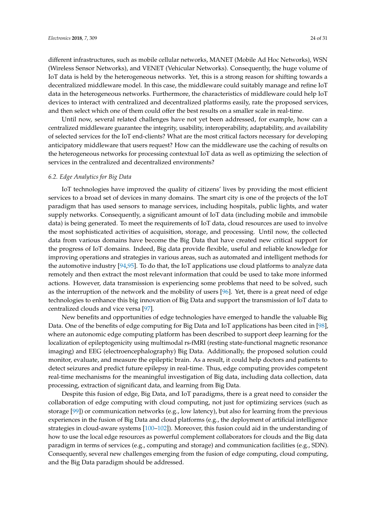different infrastructures, such as mobile cellular networks, MANET (Mobile Ad Hoc Networks), WSN (Wireless Sensor Networks), and VENET (Vehicular Networks). Consequently, the huge volume of IoT data is held by the heterogeneous networks. Yet, this is a strong reason for shifting towards a decentralized middleware model. In this case, the middleware could suitably manage and refine IoT data in the heterogeneous networks. Furthermore, the characteristics of middleware could help IoT devices to interact with centralized and decentralized platforms easily, rate the proposed services, and then select which one of them could offer the best results on a smaller scale in real-time.

Until now, several related challenges have not yet been addressed, for example, how can a centralized middleware guarantee the integrity, usability, interoperability, adaptability, and availability of selected services for the IoT end-clients? What are the most critical factors necessary for developing anticipatory middleware that users request? How can the middleware use the caching of results on the heterogeneous networks for processing contextual IoT data as well as optimizing the selection of services in the centralized and decentralized environments?

#### *6.2. Edge Analytics for Big Data*

IoT technologies have improved the quality of citizens' lives by providing the most efficient services to a broad set of devices in many domains. The smart city is one of the projects of the IoT paradigm that has used sensors to manage services, including hospitals, public lights, and water supply networks. Consequently, a significant amount of IoT data (including mobile and immobile data) is being generated. To meet the requirements of IoT data, cloud resources are used to involve the most sophisticated activities of acquisition, storage, and processing. Until now, the collected data from various domains have become the Big Data that have created new critical support for the progress of IoT domains. Indeed, Big data provide flexible, useful and reliable knowledge for improving operations and strategies in various areas, such as automated and intelligent methods for the automotive industry [\[94,](#page-29-20)[95\]](#page-29-21). To do that, the IoT applications use cloud platforms to analyze data remotely and then extract the most relevant information that could be used to take more informed actions. However, data transmission is experiencing some problems that need to be solved, such as the interruption of the network and the mobility of users [\[96\]](#page-29-22). Yet, there is a great need of edge technologies to enhance this big innovation of Big Data and support the transmission of IoT data to centralized clouds and vice versa [\[97\]](#page-29-23).

New benefits and opportunities of edge technologies have emerged to handle the valuable Big Data. One of the benefits of edge computing for Big Data and IoT applications has been cited in [\[98\]](#page-30-0), where an autonomic edge computing platform has been described to support deep learning for the localization of epileptogenicity using multimodal rs-fMRI (resting state-functional magnetic resonance imaging) and EEG (electroencephalography) Big Data. Additionally, the proposed solution could monitor, evaluate, and measure the epileptic brain. As a result, it could help doctors and patients to detect seizures and predict future epilepsy in real-time. Thus, edge computing provides competent real-time mechanisms for the meaningful investigation of Big data, including data collection, data processing, extraction of significant data, and learning from Big Data.

Despite this fusion of edge, Big Data, and IoT paradigms, there is a great need to consider the collaboration of edge computing with cloud computing, not just for optimizing services (such as storage [\[99\]](#page-30-1)) or communication networks (e.g., low latency), but also for learning from the previous experiences in the fusion of Big Data and cloud platforms (e.g., the deployment of artificial intelligence strategies in cloud-aware systems [\[100](#page-30-2)[–102\]](#page-30-3)). Moreover, this fusion could aid in the understanding of how to use the local edge resources as powerful complement collaborators for clouds and the Big data paradigm in terms of services (e.g., computing and storage) and communication facilities (e.g., SDN). Consequently, several new challenges emerging from the fusion of edge computing, cloud computing, and the Big Data paradigm should be addressed.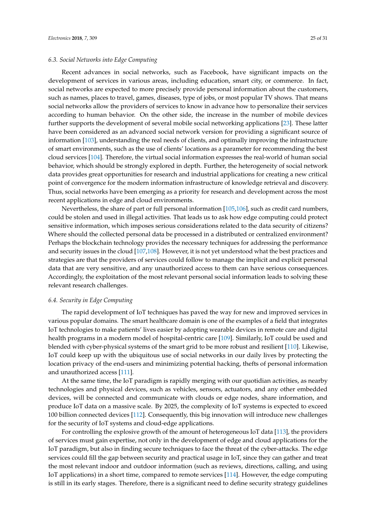#### *6.3. Social Networks into Edge Computing*

Recent advances in social networks, such as Facebook, have significant impacts on the

development of services in various areas, including education, smart city, or commerce. In fact, social networks are expected to more precisely provide personal information about the customers, such as names, places to travel, games, diseases, type of jobs, or most popular TV shows. That means social networks allow the providers of services to know in advance how to personalize their services according to human behavior. On the other side, the increase in the number of mobile devices further supports the development of several mobile social networking applications [\[23\]](#page-26-9). These latter have been considered as an advanced social network version for providing a significant source of information [\[103\]](#page-30-4), understanding the real needs of clients, and optimally improving the infrastructure of smart environments, such as the use of clients' locations as a parameter for recommending the best cloud services [\[104\]](#page-30-5). Therefore, the virtual social information expresses the real-world of human social behavior, which should be strongly explored in depth. Further, the heterogeneity of social network data provides great opportunities for research and industrial applications for creating a new critical point of convergence for the modern information infrastructure of knowledge retrieval and discovery. Thus, social networks have been emerging as a priority for research and development across the most recent applications in edge and cloud environments.

Nevertheless, the share of part or full personal information [\[105,](#page-30-6)[106\]](#page-30-7), such as credit card numbers, could be stolen and used in illegal activities. That leads us to ask how edge computing could protect sensitive information, which imposes serious considerations related to the data security of citizens? Where should the collected personal data be processed in a distributed or centralized environment? Perhaps the blockchain technology provides the necessary techniques for addressing the performance and security issues in the cloud [\[107](#page-30-8)[,108\]](#page-30-9). However, it is not yet understood what the best practices and strategies are that the providers of services could follow to manage the implicit and explicit personal data that are very sensitive, and any unauthorized access to them can have serious consequences. Accordingly, the exploitation of the most relevant personal social information leads to solving these relevant research challenges.

### *6.4. Security in Edge Computing*

The rapid development of IoT techniques has paved the way for new and improved services in various popular domains. The smart healthcare domain is one of the examples of a field that integrates IoT technologies to make patients' lives easier by adopting wearable devices in remote care and digital health programs in a modern model of hospital-centric care [\[109\]](#page-30-10). Similarly, IoT could be used and blended with cyber-physical systems of the smart grid to be more robust and resilient [\[110\]](#page-30-11). Likewise, IoT could keep up with the ubiquitous use of social networks in our daily lives by protecting the location privacy of the end-users and minimizing potential hacking, thefts of personal information and unauthorized access [\[111\]](#page-30-12).

At the same time, the IoT paradigm is rapidly merging with our quotidian activities, as nearby technologies and physical devices, such as vehicles, sensors, actuators, and any other embedded devices, will be connected and communicate with clouds or edge nodes, share information, and produce IoT data on a massive scale. By 2025, the complexity of IoT systems is expected to exceed 100 billion connected devices [\[112\]](#page-30-13). Consequently, this big innovation will introduce new challenges for the security of IoT systems and cloud-edge applications.

For controlling the explosive growth of the amount of heterogeneous IoT data [\[113\]](#page-30-14), the providers of services must gain expertise, not only in the development of edge and cloud applications for the IoT paradigm, but also in finding secure techniques to face the threat of the cyber-attacks. The edge services could fill the gap between security and practical usage in IoT, since they can gather and treat the most relevant indoor and outdoor information (such as reviews, directions, calling, and using IoT applications) in a short time, compared to remote services [\[114\]](#page-30-15). However, the edge computing is still in its early stages. Therefore, there is a significant need to define security strategy guidelines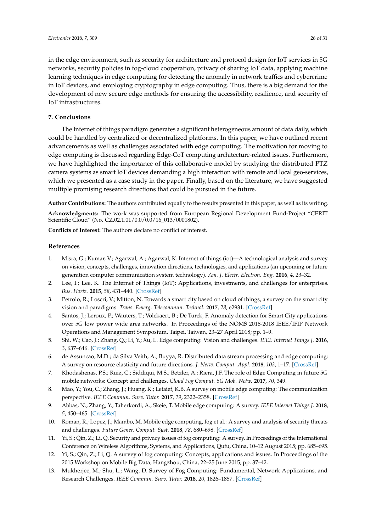in the edge environment, such as security for architecture and protocol design for IoT services in 5G networks, security policies in fog-cloud cooperation, privacy of sharing IoT data, applying machine learning techniques in edge computing for detecting the anomaly in network traffics and cybercrime in IoT devices, and employing cryptography in edge computing. Thus, there is a big demand for the development of new secure edge methods for ensuring the accessibility, resilience, and security of IoT infrastructures.

## <span id="page-25-4"></span>**7. Conclusions**

The Internet of things paradigm generates a significant heterogeneous amount of data daily, which could be handled by centralized or decentralized platforms. In this paper, we have outlined recent advancements as well as challenges associated with edge computing. The motivation for moving to edge computing is discussed regarding Edge-CoT computing architecture-related issues. Furthermore, we have highlighted the importance of this collaborative model by studying the distributed PTZ camera systems as smart IoT devices demanding a high interaction with remote and local geo-services, which we presented as a case study in the paper. Finally, based on the literature, we have suggested multiple promising research directions that could be pursued in the future.

**Author Contributions:** The authors contributed equally to the results presented in this paper, as well as its writing. **Acknowledgments:** The work was supported from European Regional Development Fund-Project "CERIT Scientific Cloud" (No. CZ.02.1.01/0.0/0.0/16\_013/0001802).

**Conflicts of Interest:** The authors declare no conflict of interest.

### **References**

- <span id="page-25-0"></span>1. Misra, G.; Kumar, V.; Agarwal, A.; Agarwal, K. Internet of things (iot)—A technological analysis and survey on vision, concepts, challenges, innovation directions, technologies, and applications (an upcoming or future generation computer communication system technology). *Am. J. Electr. Electron. Eng.* **2016**, *4*, 23–32.
- <span id="page-25-1"></span>2. Lee, I.; Lee, K. The Internet of Things (IoT): Applications, investments, and challenges for enterprises. *Bus. Horiz.* **2015**, *58*, 431–440. [\[CrossRef\]](http://dx.doi.org/10.1016/j.bushor.2015.03.008)
- <span id="page-25-2"></span>3. Petrolo, R.; Loscri, V.; Mitton, N. Towards a smart city based on cloud of things, a survey on the smart city vision and paradigms. *Trans. Emerg. Telecommun. Technol.* **2017**, *28*, e2931. [\[CrossRef\]](http://dx.doi.org/10.1002/ett.2931)
- <span id="page-25-3"></span>4. Santos, J.; Leroux, P.; Wauters, T.; Volckaert, B.; De Turck, F. Anomaly detection for Smart City applications over 5G low power wide area networks. In Proceedings of the NOMS 2018-2018 IEEE/IFIP Network Operations and Management Symposium, Taipei, Taiwan, 23–27 April 2018; pp. 1–9.
- <span id="page-25-5"></span>5. Shi, W.; Cao, J.; Zhang, Q.; Li, Y.; Xu, L. Edge computing: Vision and challenges. *IEEE Internet Things J.* **2016**, *3*, 637–646. [\[CrossRef\]](http://dx.doi.org/10.1109/JIOT.2016.2579198)
- <span id="page-25-6"></span>6. de Assuncao, M.D.; da Silva Veith, A.; Buyya, R. Distributed data stream processing and edge computing: A survey on resource elasticity and future directions. *J. Netw. Comput. Appl.* **2018**, *103*, 1–17. [\[CrossRef\]](http://dx.doi.org/10.1016/j.jnca.2017.12.001)
- <span id="page-25-7"></span>7. Khodashenas, P.S.; Ruiz, C.; Siddiqui, M.S.; Betzler, A.; Riera, J.F. The role of Edge Computing in future 5G mobile networks: Concept and challenges. *Cloud Fog Comput. 5G Mob. Netw.* **2017**, *70*, 349.
- <span id="page-25-8"></span>8. Mao, Y.; You, C.; Zhang, J.; Huang, K.; Letaief, K.B. A survey on mobile edge computing: The communication perspective. *IEEE Commun. Surv. Tutor.* **2017**, *19*, 2322–2358. [\[CrossRef\]](http://dx.doi.org/10.1109/COMST.2017.2745201)
- <span id="page-25-9"></span>9. Abbas, N.; Zhang, Y.; Taherkordi, A.; Skeie, T. Mobile edge computing: A survey. *IEEE Internet Things J.* **2018**, *5*, 450–465. [\[CrossRef\]](http://dx.doi.org/10.1109/JIOT.2017.2750180)
- <span id="page-25-10"></span>10. Roman, R.; Lopez, J.; Mambo, M. Mobile edge computing, fog et al.: A survey and analysis of security threats and challenges. *Future Gener. Comput. Syst.* **2018**, *78*, 680–698. [\[CrossRef\]](http://dx.doi.org/10.1016/j.future.2016.11.009)
- <span id="page-25-11"></span>11. Yi, S.; Qin, Z.; Li, Q. Security and privacy issues of fog computing: A survey. In Proceedings of the International Conference on Wireless Algorithms, Systems, and Applications, Qufu, China, 10–12 August 2015; pp. 685–695.
- <span id="page-25-12"></span>12. Yi, S.; Qin, Z.; Li, Q. A survey of fog computing: Concepts, applications and issues. In Proceedings of the 2015 Workshop on Mobile Big Data, Hangzhou, China, 22–25 June 2015; pp. 37–42.
- <span id="page-25-13"></span>13. Mukherjee, M.; Shu, L.; Wang, D. Survey of Fog Computing: Fundamental, Network Applications, and Research Challenges. *IEEE Commun. Surv. Tutor.* **2018**, *20*, 1826–1857. [\[CrossRef\]](http://dx.doi.org/10.1109/COMST.2018.2814571)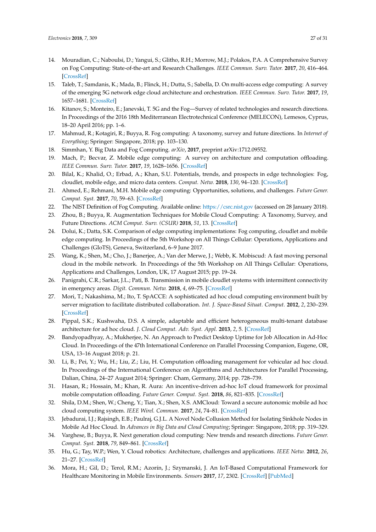- <span id="page-26-0"></span>14. Mouradian, C.; Naboulsi, D.; Yangui, S.; Glitho, R.H.; Morrow, M.J.; Polakos, P.A. A Comprehensive Survey on Fog Computing: State-of-the-art and Research Challenges. *IEEE Commun. Surv. Tutor.* **2017**, *20*, 416–464. [\[CrossRef\]](http://dx.doi.org/10.1109/COMST.2017.2771153)
- <span id="page-26-1"></span>15. Taleb, T.; Samdanis, K.; Mada, B.; Flinck, H.; Dutta, S.; Sabella, D. On multi-access edge computing: A survey of the emerging 5G network edge cloud architecture and orchestration. *IEEE Commun. Surv. Tutor.* **2017**, *19*, 1657–1681. [\[CrossRef\]](http://dx.doi.org/10.1109/COMST.2017.2705720)
- <span id="page-26-2"></span>16. Kitanov, S.; Monteiro, E.; Janevski, T. 5G and the Fog—Survey of related technologies and research directions. In Proceedings of the 2016 18th Mediterranean Electrotechnical Conference (MELECON), Lemesos, Cyprus, 18–20 April 2016; pp. 1–6.
- <span id="page-26-3"></span>17. Mahmud, R.; Kotagiri, R.; Buyya, R. Fog computing: A taxonomy, survey and future directions. In *Internet of Everything*; Springer: Singapore, 2018; pp. 103–130.
- <span id="page-26-4"></span>18. Simmhan, Y. Big Data and Fog Computing. *arXiv*, **2017**, preprint arXiv:1712.09552.
- <span id="page-26-5"></span>19. Mach, P.; Becvar, Z. Mobile edge computing: A survey on architecture and computation offloading. *IEEE Commun. Surv. Tutor.* **2017**, *19*, 1628–1656. [\[CrossRef\]](http://dx.doi.org/10.1109/COMST.2017.2682318)
- <span id="page-26-6"></span>20. Bilal, K.; Khalid, O.; Erbad, A.; Khan, S.U. Potentials, trends, and prospects in edge technologies: Fog, cloudlet, mobile edge, and micro data centers. *Comput. Netw.* **2018**, *130*, 94–120. [\[CrossRef\]](http://dx.doi.org/10.1016/j.comnet.2017.10.002)
- <span id="page-26-7"></span>21. Ahmed, E.; Rehmani, M.H. Mobile edge computing: Opportunities, solutions, and challenges. *Future Gener. Comput. Syst.* **2017**, *70*, 59–63. [\[CrossRef\]](http://dx.doi.org/10.1016/j.future.2016.09.015)
- <span id="page-26-9"></span><span id="page-26-8"></span>22. The NIST Definition of Fog Computing. Available online: <https://csrc.nist.gov> (accessed on 28 January 2018).
- 23. Zhou, B.; Buyya, R. Augmentation Techniques for Mobile Cloud Computing: A Taxonomy, Survey, and Future Directions. *ACM Comput. Surv. (CSUR)* **2018**, *51*, 13. [\[CrossRef\]](http://dx.doi.org/10.1145/3152397)
- <span id="page-26-10"></span>24. Dolui, K.; Datta, S.K. Comparison of edge computing implementations: Fog computing, cloudlet and mobile edge computing. In Proceedings of the 5th Workshop on All Things Cellular: Operations, Applications and Challenges (GIoTS), Geneva, Switzerland, 6–9 June 2017.
- <span id="page-26-11"></span>25. Wang, K.; Shen, M.; Cho, J.; Banerjee, A.; Van der Merwe, J.; Webb, K. Mobiscud: A fast moving personal cloud in the mobile network. In Proceedings of the 5th Workshop on All Things Cellular: Operations, Applications and Challenges, London, UK, 17 August 2015; pp. 19–24.
- <span id="page-26-12"></span>26. Panigrahi, C.R.; Sarkar, J.L.; Pati, B. Transmission in mobile cloudlet systems with intermittent connectivity in emergency areas. *Digit. Commun. Netw.* **2018**, *4*, 69–75. [\[CrossRef\]](http://dx.doi.org/10.1016/j.dcan.2017.09.006)
- <span id="page-26-13"></span>27. Mori, T.; Nakashima, M.; Ito, T. SpACCE: A sophisticated ad hoc cloud computing environment built by server migration to facilitate distributed collaboration. *Int. J. Space-Based Situat. Comput.* **2012**, *2*, 230–239. [\[CrossRef\]](http://dx.doi.org/10.1504/IJSSC.2012.050000)
- <span id="page-26-14"></span>28. Pippal, S.K.; Kushwaha, D.S. A simple, adaptable and efficient heterogeneous multi-tenant database architecture for ad hoc cloud. *J. Cloud Comput. Adv. Syst. Appl.* **2013**, *2*, 5. [\[CrossRef\]](http://dx.doi.org/10.1186/2192-113X-2-5)
- <span id="page-26-15"></span>29. Bandyopadhyay, A.; Mukherjee, N. An Approach to Predict Desktop Uptime for Job Allocation in Ad-Hoc Cloud. In Proceedings of the 47th International Conference on Parallel Processing Companion, Eugene, OR, USA, 13–16 August 2018; p. 21.
- <span id="page-26-16"></span>30. Li, B.; Pei, Y.; Wu, H.; Liu, Z.; Liu, H. Computation offloading management for vehicular ad hoc cloud. In Proceedings of the International Conference on Algorithms and Architectures for Parallel Processing, Dalian, China, 24–27 August 2014; Springer: Cham, Germany, 2014; pp. 728–739.
- <span id="page-26-17"></span>31. Hasan, R.; Hossain, M.; Khan, R. Aura: An incentive-driven ad-hoc IoT cloud framework for proximal mobile computation offloading. *Future Gener. Comput. Syst.* **2018**, *86*, 821–835. [\[CrossRef\]](http://dx.doi.org/10.1016/j.future.2017.11.024)
- <span id="page-26-18"></span>32. Shila, D.M.; Shen, W.; Cheng, Y.; Tian, X.; Shen, X.S. AMCloud: Toward a secure autonomic mobile ad hoc cloud computing system. *IEEE Wirel. Commun.* **2017**, *24*, 74–81. [\[CrossRef\]](http://dx.doi.org/10.1109/MWC.2016.1500119RP)
- <span id="page-26-19"></span>33. Jebadurai, I.J.; Rajsingh, E.B.; Paulraj, G.J.L. A Novel Node Collusion Method for Isolating Sinkhole Nodes in Mobile Ad Hoc Cloud. In *Advances in Big Data and Cloud Computing*; Springer: Singapore, 2018; pp. 319–329.
- <span id="page-26-20"></span>34. Varghese, B.; Buyya, R. Next generation cloud computing: New trends and research directions. *Future Gener. Comput. Syst.* **2018**, *79*, 849–861. [\[CrossRef\]](http://dx.doi.org/10.1016/j.future.2017.09.020)
- <span id="page-26-21"></span>35. Hu, G.; Tay, W.P.; Wen, Y. Cloud robotics: Architecture, challenges and applications. *IEEE Netw.* **2012**, *26*, 21–27. [\[CrossRef\]](http://dx.doi.org/10.1109/MNET.2012.6201212)
- <span id="page-26-22"></span>36. Mora, H.; Gil, D.; Terol, R.M.; Azorín, J.; Szymanski, J. An IoT-Based Computational Framework for Healthcare Monitoring in Mobile Environments. *Sensors* **2017**, *17*, 2302. [\[CrossRef\]](http://dx.doi.org/10.3390/s17102302) [\[PubMed\]](http://www.ncbi.nlm.nih.gov/pubmed/28994743)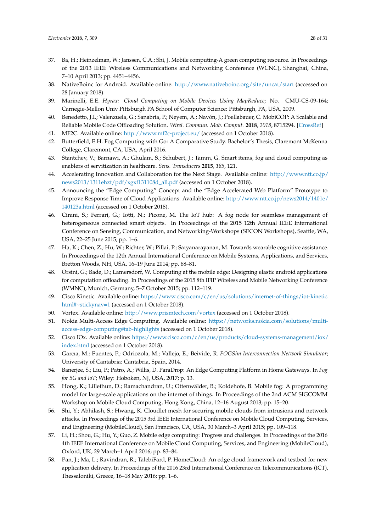- <span id="page-27-26"></span><span id="page-27-25"></span><span id="page-27-24"></span><span id="page-27-23"></span><span id="page-27-22"></span><span id="page-27-0"></span>37. Ba, H.; Heinzelman, W.; Janssen, C.A.; Shi, J. Mobile computing-A green computing resource. In Proceedings of the 2013 IEEE Wireless Communications and Networking Conference (WCNC), Shanghai, China, 7–10 April 2013; pp. 4451–4456.
- <span id="page-27-27"></span><span id="page-27-1"></span>38. NativeBoinc for Android. Available online: <http://www.nativeboinc.org/site/uncat/start> (accessed on 28 January 2018).
- <span id="page-27-2"></span>39. Marinelli, E.E. *Hyrax: Cloud Computing on Mobile Devices Using MapReduce*; No. CMU-CS-09-164; Carnegie-Mellon Univ Pittsburgh PA School of Computer Science: Pittsburgh, PA, USA, 2009.
- <span id="page-27-3"></span>40. Benedetto, J.I.; Valenzuela, G.; Sanabria, P.; Neyem, A.; Navón, J.; Poellabauer, C. MobiCOP: A Scalable and Reliable Mobile Code Offloading Solution. *Wirel. Commun. Mob. Comput.* **2018**, *2018*, 8715294. [\[CrossRef\]](http://dx.doi.org/10.1155/2018/8715294)
- <span id="page-27-4"></span>41. MF2C. Available online: <http://www.mf2c-project.eu/> (accessed on 1 October 2018).
- <span id="page-27-5"></span>42. Butterfield, E.H. Fog Computing with Go: A Comparative Study. Bachelor's Thesis, Claremont McKenna College, Claremont, CA, USA, April 2016.
- <span id="page-27-6"></span>43. Stantchev, V.; Barnawi, A.; Ghulam, S.; Schubert, J.; Tamm, G. Smart items, fog and cloud computing as enablers of servitization in healthcare. *Sens. Transducers* **2015**, *185*, 121.
- <span id="page-27-7"></span>44. Accelerating Innovation and Collaboration for the Next Stage. Available online: [http://www.ntt.co.jp/](http://www.ntt.co.jp/news2013/1311ehzt/pdf/xgxf131108d_all.pdf) [news2013/1311ehzt/pdf/xgxf131108d\\_all.pdf](http://www.ntt.co.jp/news2013/1311ehzt/pdf/xgxf131108d_all.pdf) (accessed on 1 October 2018).
- <span id="page-27-8"></span>45. Announcing the "Edge Computing" Concept and the "Edge Accelerated Web Platform" Prototype to Improve Response Time of Cloud Applications. Available online: [http://www.ntt.co.jp/news2014/1401e/](http://www.ntt.co.jp/news2014/1401e/140123a.html) [140123a.html](http://www.ntt.co.jp/news2014/1401e/140123a.html) (accessed on 1 October 2018).
- <span id="page-27-28"></span><span id="page-27-9"></span>46. Cirani, S.; Ferrari, G.; Iotti, N.; Picone, M. The IoT hub: A fog node for seamless management of heterogeneous connected smart objects. In Proceedings of the 2015 12th Annual IEEE International Conference on Sensing, Communication, and Networking-Workshops (SECON Workshops), Seattle, WA, USA, 22–25 June 2015; pp. 1–6.
- <span id="page-27-29"></span><span id="page-27-10"></span>47. Ha, K.; Chen, Z.; Hu, W.; Richter, W.; Pillai, P.; Satyanarayanan, M. Towards wearable cognitive assistance. In Proceedings of the 12th Annual International Conference on Mobile Systems, Applications, and Services, Bretton Woods, NH, USA, 16–19 June 2014; pp. 68–81.
- <span id="page-27-30"></span><span id="page-27-11"></span>48. Orsini, G.; Bade, D.; Lamersdorf, W. Computing at the mobile edge: Designing elastic android applications for computation offloading. In Proceedings of the 2015 8th IFIP Wireless and Mobile Networking Conference (WMNC), Munich, Germany, 5–7 October 2015; pp. 112–119.
- <span id="page-27-31"></span><span id="page-27-12"></span>49. Cisco Kinetic. Available online: [https://www.cisco.com/c/en/us/solutions/internet-of-things/iot-kinetic.](https://www.cisco.com/c/en/us/solutions/internet-of-things/iot-kinetic.html#~stickynav=1) [html#~stickynav=1](https://www.cisco.com/c/en/us/solutions/internet-of-things/iot-kinetic.html#~stickynav=1) (accessed on 1 October 2018).
- <span id="page-27-13"></span>50. Vortex. Available online: <http://www.prismtech.com/vortex> (accessed on 1 October 2018).
- <span id="page-27-14"></span>51. Nokia Multi-Access Edge Computing. Available online: [https://networks.nokia.com/solutions/multi](https://networks.nokia.com/solutions/multi-access-edge-computing#tab-highlights)[access-edge-computing#tab-highlights](https://networks.nokia.com/solutions/multi-access-edge-computing#tab-highlights) (accessed on 1 October 2018).
- <span id="page-27-15"></span>52. Cisco IOx. Available online: [https://www.cisco.com/c/en/us/products/cloud-systems-management/iox/](https://www.cisco.com/c/en/us/products/cloud-systems-management/iox/index.html) [index.html](https://www.cisco.com/c/en/us/products/cloud-systems-management/iox/index.html) (accessed on 1 October 2018).
- <span id="page-27-16"></span>53. Garcıa, M.; Fuentes, P.; Odriozola, M.; Vallejo, E.; Beivide, R. *FOGSim Interconnection Network Simulator*; University of Cantabria: Cantabria, Spain, 2014.
- <span id="page-27-17"></span>54. Banerjee, S.; Liu, P.; Patro, A.; Willis, D. ParaDrop: An Edge Computing Platform in Home Gateways. In *Fog for 5G and IoT*; Wiley: Hoboken, NJ, USA, 2017; p. 13.
- <span id="page-27-18"></span>55. Hong, K.; Lillethun, D.; Ramachandran, U.; Ottenwälder, B.; Koldehofe, B. Mobile fog: A programming model for large-scale applications on the internet of things. In Proceedings of the 2nd ACM SIGCOMM Workshop on Mobile Cloud Computing, Hong Kong, China, 12–16 August 2013; pp. 15–20.
- <span id="page-27-19"></span>56. Shi, Y.; Abhilash, S.; Hwang, K. Cloudlet mesh for securing mobile clouds from intrusions and network attacks. In Proceedings of the 2015 3rd IEEE International Conference on Mobile Cloud Computing, Services, and Engineering (MobileCloud), San Francisco, CA, USA, 30 March–3 April 2015; pp. 109–118.
- <span id="page-27-20"></span>57. Li, H.; Shou, G.; Hu, Y.; Guo, Z. Mobile edge computing: Progress and challenges. In Proceedings of the 2016 4th IEEE International Conference on Mobile Cloud Computing, Services, and Engineering (MobileCloud), Oxford, UK, 29 March–1 April 2016; pp. 83–84.
- <span id="page-27-21"></span>58. Pan, J.; Ma, L.; Ravindran, R.; TalebiFard, P. HomeCloud: An edge cloud framework and testbed for new application delivery. In Proceedings of the 2016 23rd International Conference on Telecommunications (ICT), Thessaloniki, Greece, 16–18 May 2016; pp. 1–6.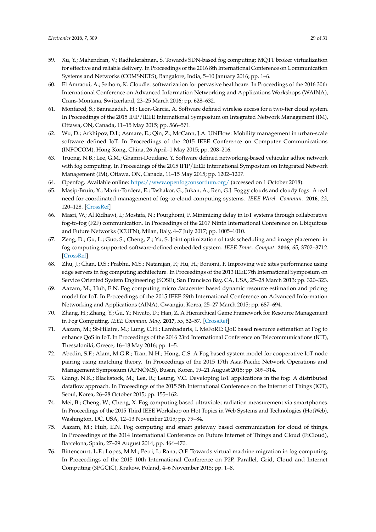- <span id="page-28-22"></span><span id="page-28-21"></span><span id="page-28-20"></span><span id="page-28-19"></span><span id="page-28-18"></span><span id="page-28-17"></span><span id="page-28-0"></span>59. Xu, Y.; Mahendran, V.; Radhakrishnan, S. Towards SDN-based fog computing: MQTT broker virtualization for effective and reliable delivery. In Proceedings of the 2016 8th International Conference on Communication Systems and Networks (COMSNETS), Bangalore, India, 5–10 January 2016; pp. 1–6.
- <span id="page-28-8"></span><span id="page-28-1"></span>60. El Amraoui, A.; Sethom, K. Cloudlet softwarization for pervasive healthcare. In Proceedings of the 2016 30th International Conference on Advanced Information Networking and Applications Workshops (WAINA), Crans-Montana, Switzerland, 23–25 March 2016; pp. 628–632.
- <span id="page-28-9"></span><span id="page-28-2"></span>61. Monfared, S.; Bannazadeh, H.; Leon-Garcia, A. Software defined wireless access for a two-tier cloud system. In Proceedings of the 2015 IFIP/IEEE International Symposium on Integrated Network Management (IM), Ottawa, ON, Canada, 11–15 May 2015; pp. 566–571.
- <span id="page-28-3"></span>62. Wu, D.; Arkhipov, D.I.; Asmare, E.; Qin, Z.; McCann, J.A. UbiFlow: Mobility management in urban-scale software defined IoT. In Proceedings of the 2015 IEEE Conference on Computer Communications (INFOCOM), Hong Kong, China, 26 April–1 May 2015; pp. 208–216.
- <span id="page-28-10"></span><span id="page-28-4"></span>63. Truong, N.B.; Lee, G.M.; Ghamri-Doudane, Y. Software defined networking-based vehicular adhoc network with fog computing. In Proceedings of the 2015 IFIP/IEEE International Symposium on Integrated Network Management (IM), Ottawa, ON, Canada, 11–15 May 2015; pp. 1202–1207.
- <span id="page-28-11"></span><span id="page-28-5"></span>64. Openfog. Available online: <https://www.openfogconsortium.org/> (accessed on 1 October 2018).
- <span id="page-28-12"></span><span id="page-28-6"></span>65. Masip-Bruin, X.; Marín-Tordera, E.; Tashakor, G.; Jukan, A.; Ren, G.J. Foggy clouds and cloudy fogs: A real need for coordinated management of fog-to-cloud computing systems. *IEEE Wirel. Commun.* **2016**, *23*, 120–128. [\[CrossRef\]](http://dx.doi.org/10.1109/MWC.2016.7721750)
- <span id="page-28-13"></span><span id="page-28-7"></span>66. Masri, W.; Al Ridhawi, I.; Mostafa, N.; Pourghomi, P. Minimizing delay in IoT systems through collaborative fog-to-fog (F2F) communication. In Proceedings of the 2017 Ninth International Conference on Ubiquitous and Future Networks (ICUFN), Milan, Italy, 4–7 July 2017; pp. 1005–1010.
- <span id="page-28-27"></span><span id="page-28-14"></span>67. Zeng, D.; Gu, L.; Guo, S.; Cheng, Z.; Yu, S. Joint optimization of task scheduling and image placement in fog computing supported software-defined embedded system. *IEEE Trans. Comput.* **2016**, *65*, 3702–3712. [\[CrossRef\]](http://dx.doi.org/10.1109/TC.2016.2536019)
- <span id="page-28-26"></span><span id="page-28-15"></span>68. Zhu, J.; Chan, D.S.; Prabhu, M.S.; Natarajan, P.; Hu, H.; Bonomi, F. Improving web sites performance using edge servers in fog computing architecture. In Proceedings of the 2013 IEEE 7th International Symposium on Service Oriented System Engineering (SOSE), San Francisco Bay, CA, USA, 25–28 March 2013; pp. 320–323.
- <span id="page-28-31"></span><span id="page-28-16"></span>69. Aazam, M.; Huh, E.N. Fog computing micro datacenter based dynamic resource estimation and pricing model for IoT. In Proceedings of the 2015 IEEE 29th International Conference on Advanced Information Networking and Applications (AINA), Gwangju, Korea, 25–27 March 2015; pp. 687–694.
- <span id="page-28-29"></span>70. Zhang, H.; Zhang, Y.; Gu, Y.; Niyato, D.; Han, Z. A Hierarchical Game Framework for Resource Management in Fog Computing. *IEEE Commun. Mag.* **2017**, *55*, 52–57. [\[CrossRef\]](http://dx.doi.org/10.1109/MCOM.2017.1600896)
- <span id="page-28-25"></span>71. Aazam, M.; St-Hilaire, M.; Lung, C.H.; Lambadaris, I. MeFoRE: QoE based resource estimation at Fog to enhance QoS in IoT. In Proceedings of the 2016 23rd International Conference on Telecommunications (ICT), Thessaloniki, Greece, 16–18 May 2016; pp. 1–5.
- <span id="page-28-23"></span>72. Abedin, S.F.; Alam, M.G.R.; Tran, N.H.; Hong, C.S. A Fog based system model for cooperative IoT node pairing using matching theory. In Proceedings of the 2015 17th Asia-Pacific Network Operations and Management Symposium (APNOMS), Busan, Korea, 19–21 August 2015; pp. 309–314.
- <span id="page-28-32"></span>73. Giang, N.K.; Blackstock, M.; Lea, R.; Leung, V.C. Developing IoT applications in the fog: A distributed dataflow approach. In Proceedings of the 2015 5th International Conference on the Internet of Things (IOT), Seoul, Korea, 26–28 October 2015; pp. 155–162.
- <span id="page-28-28"></span>74. Mei, B.; Cheng, W.; Cheng, X. Fog computing based ultraviolet radiation measurement via smartphones. In Proceedings of the 2015 Third IEEE Workshop on Hot Topics in Web Systems and Technologies (HotWeb), Washington, DC, USA, 12–13 November 2015; pp. 79–84.
- <span id="page-28-24"></span>75. Aazam, M.; Huh, E.N. Fog computing and smart gateway based communication for cloud of things. In Proceedings of the 2014 International Conference on Future Internet of Things and Cloud (FiCloud), Barcelona, Spain, 27–29 August 2014; pp. 464–470.
- <span id="page-28-30"></span>76. Bittencourt, L.F.; Lopes, M.M.; Petri, I.; Rana, O.F. Towards virtual machine migration in fog computing. In Proceedings of the 2015 10th International Conference on P2P, Parallel, Grid, Cloud and Internet Computing (3PGCIC), Krakow, Poland, 4–6 November 2015; pp. 1–8.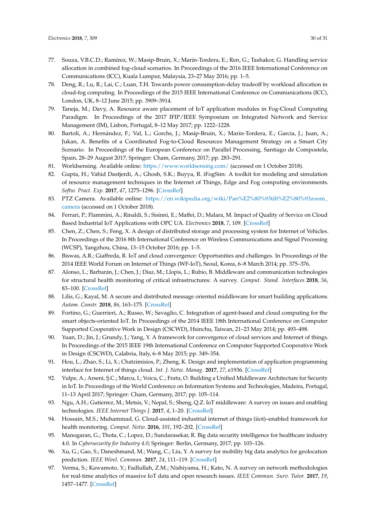- <span id="page-29-7"></span><span id="page-29-2"></span><span id="page-29-1"></span><span id="page-29-0"></span>77. Souza, V.B.C.D.; Ramírez, W.; Masip-Bruin, X.; Marín-Tordera, E.; Ren, G.; Tashakor, G. Handling service allocation in combined fog-cloud scenarios. In Proceedings of the 2016 IEEE International Conference on Communications (ICC), Kuala Lumpur, Malaysia, 23–27 May 2016; pp. 1–5.
- <span id="page-29-6"></span>78. Deng, R.; Lu, R.; Lai, C.; Luan, T.H. Towards power consumption-delay tradeoff by workload allocation in cloud-fog computing. In Proceedings of the 2015 IEEE International Conference on Communications (ICC), London, UK, 8–12 June 2015; pp. 3909–3914.
- <span id="page-29-3"></span>79. Taneja, M.; Davy, A. Resource aware placement of IoT application modules in Fog-Cloud Computing Paradigm. In Proceedings of the 2017 IFIP/IEEE Symposium on Integrated Network and Service Management (IM), Lisbon, Portugal, 8–12 May 2017; pp. 1222–1228.
- <span id="page-29-4"></span>80. Bartolí, A.; Hernández, F.; Val, L.; Gorchs, J.; Masip-Bruin, X.; Marín-Tordera, E.; Garcia, J.; Juan, A.; Jukan, A. Benefits of a Coordinated Fog-to-Cloud Resources Management Strategy on a Smart City Scenario. In Proceedings of the European Conference on Parallel Processing, Santiago de Compostela, Spain, 28–29 August 2017; Springer: Cham, Germany, 2017; pp. 283–291.
- <span id="page-29-5"></span>81. Worldsensing. Available online: <https://www.worldsensing.com/> (accessed on 1 October 2018).
- <span id="page-29-8"></span>82. Gupta, H.; Vahid Dastjerdi, A.; Ghosh, S.K.; Buyya, R. iFogSim: A toolkit for modeling and simulation of resource management techniques in the Internet of Things, Edge and Fog computing environments. *Softw. Pract. Exp.* **2017**, *47*, 1275–1296. [\[CrossRef\]](http://dx.doi.org/10.1002/spe.2509)
- <span id="page-29-9"></span>83. PTZ Camera. Available online: [https://en.wikipedia.org/wiki/Pan%E2%80%93tilt%E2%80%93zoom\\_](https://en.wikipedia.org/wiki/Pan%E2%80%93tilt%E2%80%93zoom_camera) [camera](https://en.wikipedia.org/wiki/Pan%E2%80%93tilt%E2%80%93zoom_camera) (accessed on 1 October 2018).
- <span id="page-29-10"></span>84. Ferrari, P.; Flammini, A.; Rinaldi, S.; Sisinni, E.; Maffei, D.; Malara, M. Impact of Quality of Service on Cloud Based Industrial IoT Applications with OPC UA. *Electronics* **2018**, *7*, 109. [\[CrossRef\]](http://dx.doi.org/10.3390/electronics7070109)
- <span id="page-29-11"></span>85. Chen, Z.; Chen, S.; Feng, X. A design of distributed storage and processing system for Internet of Vehicles. In Proceedings of the 2016 8th International Conference on Wireless Communications and Signal Processing (WCSP), Yangzhou, China, 13–15 October 2016; pp. 1–5.
- <span id="page-29-12"></span>86. Biswas, A.R.; Giaffreda, R. IoT and cloud convergence: Opportunities and challenges. In Proceedings of the 2014 IEEE World Forum on Internet of Things (WF-IoT), Seoul, Korea, 6–8 March 2014; pp. 375–376.
- <span id="page-29-13"></span>87. Alonso, L.; Barbarán, J.; Chen, J.; Díaz, M.; Llopis, L.; Rubio, B. Middleware and communication technologies for structural health monitoring of critical infrastructures: A survey. *Comput. Stand. Interfaces* **2018**, *56*, 83–100. [\[CrossRef\]](http://dx.doi.org/10.1016/j.csi.2017.09.007)
- <span id="page-29-14"></span>88. Lilis, G.; Kayal, M. A secure and distributed message oriented middleware for smart building applications. *Autom. Constr.* **2018**, *86*, 163–175. [\[CrossRef\]](http://dx.doi.org/10.1016/j.autcon.2017.10.030)
- <span id="page-29-15"></span>89. Fortino, G.; Guerrieri, A.; Russo, W.; Savaglio, C. Integration of agent-based and cloud computing for the smart objects-oriented IoT. In Proceedings of the 2014 IEEE 18th International Conference on Computer Supported Cooperative Work in Design (CSCWD), Hsinchu, Taiwan, 21–23 May 2014; pp. 493–498.
- <span id="page-29-16"></span>90. Yuan, D.; Jin, J.; Grundy, J.; Yang, Y. A framework for convergence of cloud services and Internet of things. In Proceedings of the 2015 IEEE 19th International Conference on Computer Supported Cooperative Work in Design (CSCWD), Calabria, Italy, 6–8 May 2015; pp. 349–354.
- <span id="page-29-17"></span>91. Hou, L.; Zhao, S.; Li, X.; Chatzimisios, P.; Zheng, K. Design and implementation of application programming interface for Internet of things cloud. *Int. J. Netw. Manag.* **2017**, *27*, e1936. [\[CrossRef\]](http://dx.doi.org/10.1002/nem.1936)
- <span id="page-29-18"></span>92. Vulpe, A.; Arseni, Ş.C.; Marcu, I.; Voicu, C.; Fratu, O. Building a Unified Middleware Architecture for Security in IoT. In Proceedings of the World Conference on Information Systems and Technologies, Madeira, Portugal, 11–13 April 2017; Springer: Cham, Germany, 2017; pp. 105–114.
- <span id="page-29-19"></span>93. Ngu, A.H.; Gutierrez, M.; Metsis, V.; Nepal, S.; Sheng, Q.Z. IoT middleware: A survey on issues and enabling technologies. *IEEE Internet Things J.* **2017**, *4*, 1–20. [\[CrossRef\]](http://dx.doi.org/10.1109/JIOT.2016.2615180)
- <span id="page-29-20"></span>94. Hossain, M.S.; Muhammad, G. Cloud-assisted industrial internet of things (iiot)–enabled framework for health monitoring. *Comput. Netw.* **2016**, *101*, 192–202. [\[CrossRef\]](http://dx.doi.org/10.1016/j.comnet.2016.01.009)
- <span id="page-29-21"></span>95. Manogaran, G.; Thota, C.; Lopez, D.; Sundarasekar, R. Big data security intelligence for healthcare industry 4.0. In *Cybersecurity for Industry 4.0*; Springer: Berlin, Germany, 2017; pp. 103–126.
- <span id="page-29-22"></span>96. Xu, G.; Gao, S.; Daneshmand, M.; Wang, C.; Liu, Y. A survey for mobility big data analytics for geolocation prediction. *IEEE Wirel. Commun.* **2017**, *24*, 111–119. [\[CrossRef\]](http://dx.doi.org/10.1109/MWC.2016.1500131WC)
- <span id="page-29-23"></span>97. Verma, S.; Kawamoto, Y.; Fadlullah, Z.M.; Nishiyama, H.; Kato, N. A survey on network methodologies for real-time analytics of massive IoT data and open research issues. *IEEE Commun. Surv. Tutor.* **2017**, *19*, 1457–1477. [\[CrossRef\]](http://dx.doi.org/10.1109/COMST.2017.2694469)